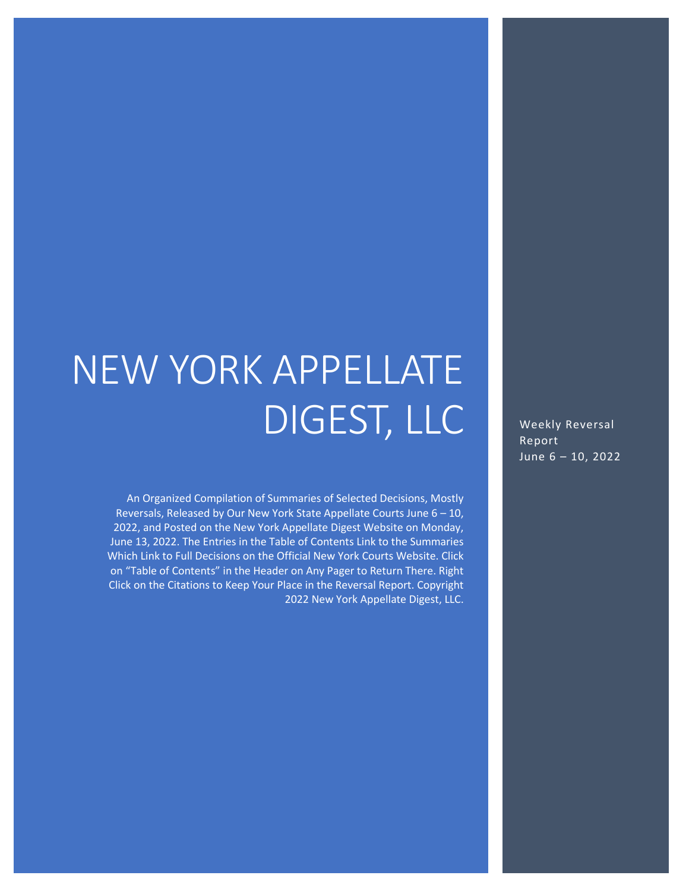# NEW YORK APPELLATE DIGEST, LLC

An Organized Compilation of Summaries of Selected Decisions, Mostly Reversals, Released by Our New York State Appellate Courts June 6 – 10, 2022, and Posted on the New York Appellate Digest Website on Monday, June 13, 2022. The Entries in the Table of Contents Link to the Summaries Which Link to Full Decisions on the Official New York Courts Website. Click on "Table of Contents" in the Header on Any Pager to Return There. Right Click on the Citations to Keep Your Place in the Reversal Report. Copyright 2022 New York Appellate Digest, LLC.

Weekly Reversal Report June  $6 - 10$ , 2022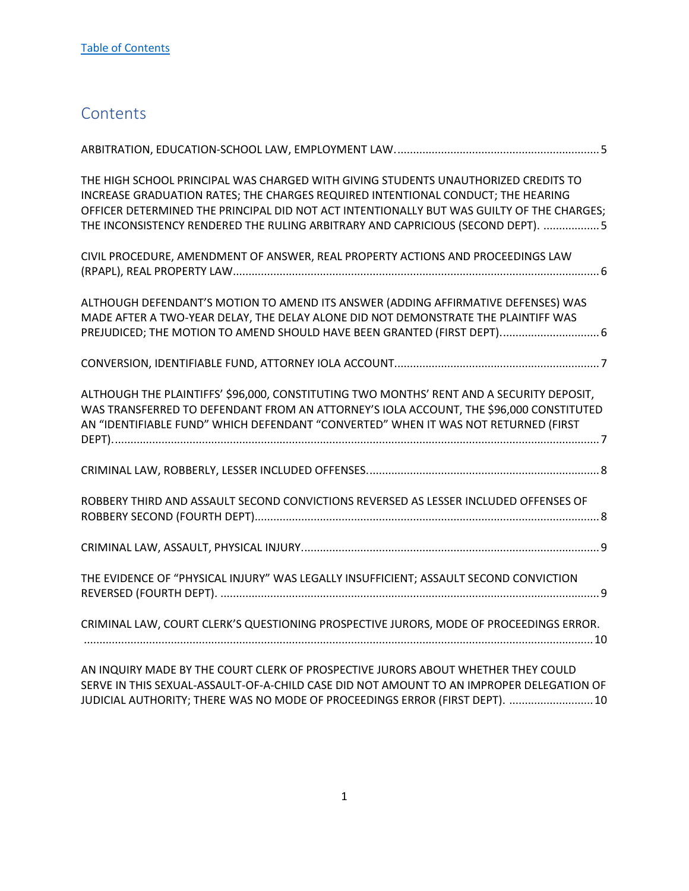## <span id="page-1-0"></span>**Contents**

| THE HIGH SCHOOL PRINCIPAL WAS CHARGED WITH GIVING STUDENTS UNAUTHORIZED CREDITS TO<br>INCREASE GRADUATION RATES; THE CHARGES REQUIRED INTENTIONAL CONDUCT; THE HEARING<br>OFFICER DETERMINED THE PRINCIPAL DID NOT ACT INTENTIONALLY BUT WAS GUILTY OF THE CHARGES;<br>THE INCONSISTENCY RENDERED THE RULING ARBITRARY AND CAPRICIOUS (SECOND DEPT). 5 |  |
|--------------------------------------------------------------------------------------------------------------------------------------------------------------------------------------------------------------------------------------------------------------------------------------------------------------------------------------------------------|--|
| CIVIL PROCEDURE, AMENDMENT OF ANSWER, REAL PROPERTY ACTIONS AND PROCEEDINGS LAW                                                                                                                                                                                                                                                                        |  |
| ALTHOUGH DEFENDANT'S MOTION TO AMEND ITS ANSWER (ADDING AFFIRMATIVE DEFENSES) WAS<br>MADE AFTER A TWO-YEAR DELAY, THE DELAY ALONE DID NOT DEMONSTRATE THE PLAINTIFF WAS<br>PREJUDICED; THE MOTION TO AMEND SHOULD HAVE BEEN GRANTED (FIRST DEPT) 6                                                                                                     |  |
|                                                                                                                                                                                                                                                                                                                                                        |  |
| ALTHOUGH THE PLAINTIFFS' \$96,000, CONSTITUTING TWO MONTHS' RENT AND A SECURITY DEPOSIT,<br>WAS TRANSFERRED TO DEFENDANT FROM AN ATTORNEY'S IOLA ACCOUNT, THE \$96,000 CONSTITUTED<br>AN "IDENTIFIABLE FUND" WHICH DEFENDANT "CONVERTED" WHEN IT WAS NOT RETURNED (FIRST                                                                               |  |
|                                                                                                                                                                                                                                                                                                                                                        |  |
| ROBBERY THIRD AND ASSAULT SECOND CONVICTIONS REVERSED AS LESSER INCLUDED OFFENSES OF                                                                                                                                                                                                                                                                   |  |
|                                                                                                                                                                                                                                                                                                                                                        |  |
| THE EVIDENCE OF "PHYSICAL INJURY" WAS LEGALLY INSUFFICIENT; ASSAULT SECOND CONVICTION                                                                                                                                                                                                                                                                  |  |
| CRIMINAL LAW, COURT CLERK'S QUESTIONING PROSPECTIVE JURORS, MODE OF PROCEEDINGS ERROR.                                                                                                                                                                                                                                                                 |  |
|                                                                                                                                                                                                                                                                                                                                                        |  |

[AN INQUIRY MADE BY THE COURT CLERK OF PROSPECTIVE JURORS ABOUT WHETHER THEY COULD](#page-10-1)  SERVE IN THIS SEXUAL-ASSAULT-OF-A-CHILD CASE [DID NOT AMOUNT TO AN IMPROPER DELEGATION OF](#page-10-1)  [JUDICIAL AUTHORITY; THERE WAS NO MODE OF PROCEEDINGS ERROR \(FIRST DEPT\). ...........................10](#page-10-1)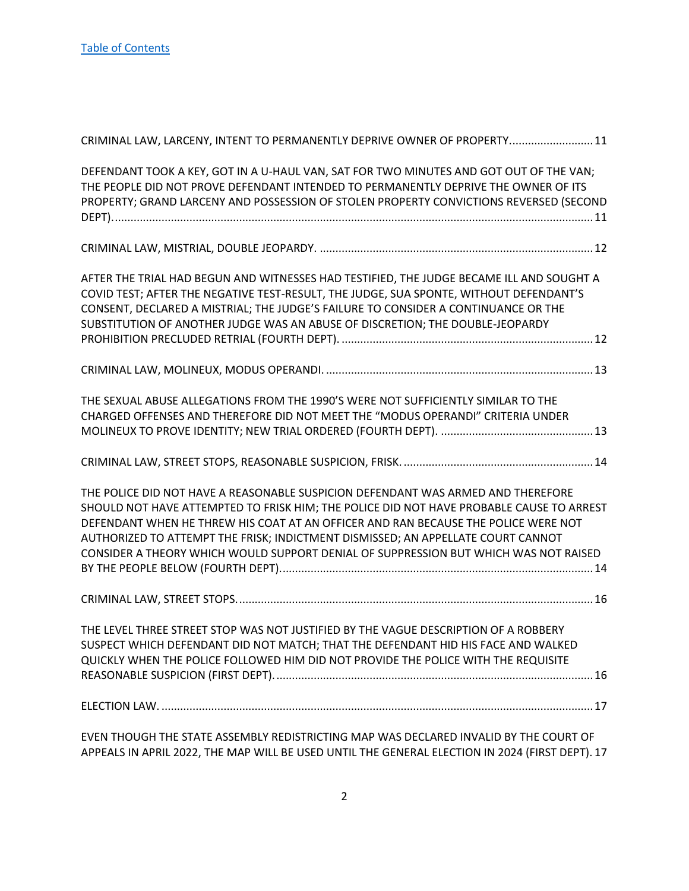| CRIMINAL LAW, LARCENY, INTENT TO PERMANENTLY DEPRIVE OWNER OF PROPERTY 11                                                                                                                                                                                                                                                                                                                                                                      |
|------------------------------------------------------------------------------------------------------------------------------------------------------------------------------------------------------------------------------------------------------------------------------------------------------------------------------------------------------------------------------------------------------------------------------------------------|
| DEFENDANT TOOK A KEY, GOT IN A U-HAUL VAN, SAT FOR TWO MINUTES AND GOT OUT OF THE VAN;<br>THE PEOPLE DID NOT PROVE DEFENDANT INTENDED TO PERMANENTLY DEPRIVE THE OWNER OF ITS<br>PROPERTY; GRAND LARCENY AND POSSESSION OF STOLEN PROPERTY CONVICTIONS REVERSED (SECOND                                                                                                                                                                        |
|                                                                                                                                                                                                                                                                                                                                                                                                                                                |
| AFTER THE TRIAL HAD BEGUN AND WITNESSES HAD TESTIFIED, THE JUDGE BECAME ILL AND SOUGHT A<br>COVID TEST; AFTER THE NEGATIVE TEST-RESULT, THE JUDGE, SUA SPONTE, WITHOUT DEFENDANT'S<br>CONSENT, DECLARED A MISTRIAL; THE JUDGE'S FAILURE TO CONSIDER A CONTINUANCE OR THE<br>SUBSTITUTION OF ANOTHER JUDGE WAS AN ABUSE OF DISCRETION; THE DOUBLE-JEOPARDY                                                                                      |
|                                                                                                                                                                                                                                                                                                                                                                                                                                                |
| THE SEXUAL ABUSE ALLEGATIONS FROM THE 1990'S WERE NOT SUFFICIENTLY SIMILAR TO THE<br>CHARGED OFFENSES AND THEREFORE DID NOT MEET THE "MODUS OPERANDI" CRITERIA UNDER                                                                                                                                                                                                                                                                           |
|                                                                                                                                                                                                                                                                                                                                                                                                                                                |
| THE POLICE DID NOT HAVE A REASONABLE SUSPICION DEFENDANT WAS ARMED AND THEREFORE<br>SHOULD NOT HAVE ATTEMPTED TO FRISK HIM; THE POLICE DID NOT HAVE PROBABLE CAUSE TO ARREST<br>DEFENDANT WHEN HE THREW HIS COAT AT AN OFFICER AND RAN BECAUSE THE POLICE WERE NOT<br>AUTHORIZED TO ATTEMPT THE FRISK; INDICTMENT DISMISSED; AN APPELLATE COURT CANNOT<br>CONSIDER A THEORY WHICH WOULD SUPPORT DENIAL OF SUPPRESSION BUT WHICH WAS NOT RAISED |
|                                                                                                                                                                                                                                                                                                                                                                                                                                                |
| THE LEVEL THREE STREET STOP WAS NOT JUSTIFIED BY THE VAGUE DESCRIPTION OF A ROBBERY<br>SUSPECT WHICH DEFENDANT DID NOT MATCH; THAT THE DEFENDANT HID HIS FACE AND WALKED<br>QUICKLY WHEN THE POLICE FOLLOWED HIM DID NOT PROVIDE THE POLICE WITH THE REQUISITE                                                                                                                                                                                 |
|                                                                                                                                                                                                                                                                                                                                                                                                                                                |
|                                                                                                                                                                                                                                                                                                                                                                                                                                                |

[APPEALS IN APRIL 2022, THE MAP WILL BE USED UNTIL THE GENERAL ELECTION IN 2024 \(FIRST DEPT\).](#page-17-1) 17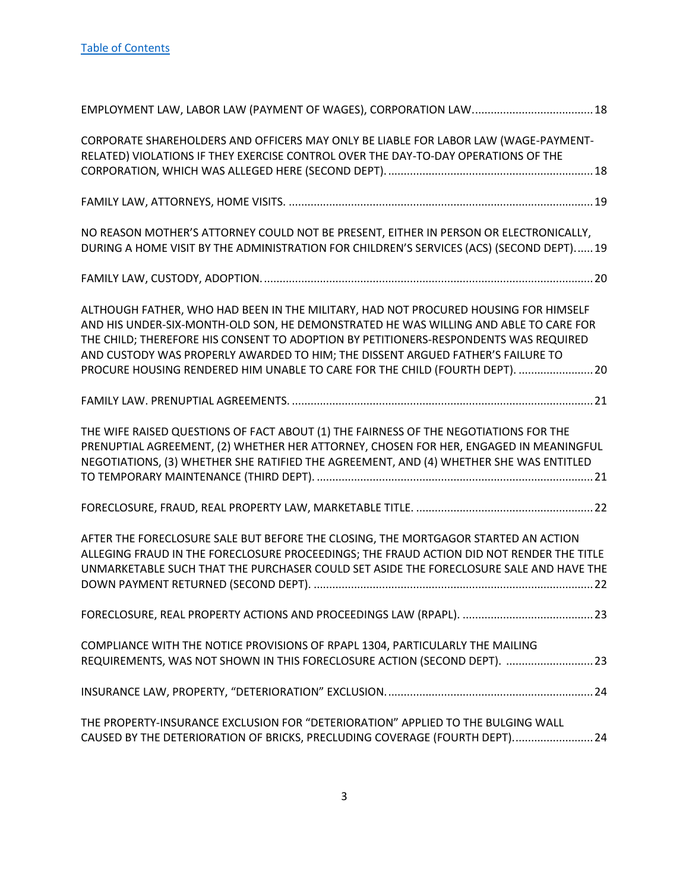| CORPORATE SHAREHOLDERS AND OFFICERS MAY ONLY BE LIABLE FOR LABOR LAW (WAGE-PAYMENT-<br>RELATED) VIOLATIONS IF THEY EXERCISE CONTROL OVER THE DAY-TO-DAY OPERATIONS OF THE                                                                                                                                                                                                                                                              |
|----------------------------------------------------------------------------------------------------------------------------------------------------------------------------------------------------------------------------------------------------------------------------------------------------------------------------------------------------------------------------------------------------------------------------------------|
|                                                                                                                                                                                                                                                                                                                                                                                                                                        |
| NO REASON MOTHER'S ATTORNEY COULD NOT BE PRESENT, EITHER IN PERSON OR ELECTRONICALLY,<br>DURING A HOME VISIT BY THE ADMINISTRATION FOR CHILDREN'S SERVICES (ACS) (SECOND DEPT)19                                                                                                                                                                                                                                                       |
|                                                                                                                                                                                                                                                                                                                                                                                                                                        |
| ALTHOUGH FATHER, WHO HAD BEEN IN THE MILITARY, HAD NOT PROCURED HOUSING FOR HIMSELF<br>AND HIS UNDER-SIX-MONTH-OLD SON, HE DEMONSTRATED HE WAS WILLING AND ABLE TO CARE FOR<br>THE CHILD; THEREFORE HIS CONSENT TO ADOPTION BY PETITIONERS-RESPONDENTS WAS REQUIRED<br>AND CUSTODY WAS PROPERLY AWARDED TO HIM; THE DISSENT ARGUED FATHER'S FAILURE TO<br>PROCURE HOUSING RENDERED HIM UNABLE TO CARE FOR THE CHILD (FOURTH DEPT).  20 |
|                                                                                                                                                                                                                                                                                                                                                                                                                                        |
| THE WIFE RAISED QUESTIONS OF FACT ABOUT (1) THE FAIRNESS OF THE NEGOTIATIONS FOR THE<br>PRENUPTIAL AGREEMENT, (2) WHETHER HER ATTORNEY, CHOSEN FOR HER, ENGAGED IN MEANINGFUL<br>NEGOTIATIONS, (3) WHETHER SHE RATIFIED THE AGREEMENT, AND (4) WHETHER SHE WAS ENTITLED                                                                                                                                                                |
|                                                                                                                                                                                                                                                                                                                                                                                                                                        |
| AFTER THE FORECLOSURE SALE BUT BEFORE THE CLOSING, THE MORTGAGOR STARTED AN ACTION<br>ALLEGING FRAUD IN THE FORECLOSURE PROCEEDINGS; THE FRAUD ACTION DID NOT RENDER THE TITLE<br>UNMARKETABLE SUCH THAT THE PURCHASER COULD SET ASIDE THE FORECLOSURE SALE AND HAVE THE                                                                                                                                                               |
|                                                                                                                                                                                                                                                                                                                                                                                                                                        |
| COMPLIANCE WITH THE NOTICE PROVISIONS OF RPAPL 1304, PARTICULARLY THE MAILING<br>REQUIREMENTS, WAS NOT SHOWN IN THIS FORECLOSURE ACTION (SECOND DEPT).  23                                                                                                                                                                                                                                                                             |
|                                                                                                                                                                                                                                                                                                                                                                                                                                        |
| THE PROPERTY-INSURANCE EXCLUSION FOR "DETERIORATION" APPLIED TO THE BULGING WALL<br>CAUSED BY THE DETERIORATION OF BRICKS, PRECLUDING COVERAGE (FOURTH DEPT)24                                                                                                                                                                                                                                                                         |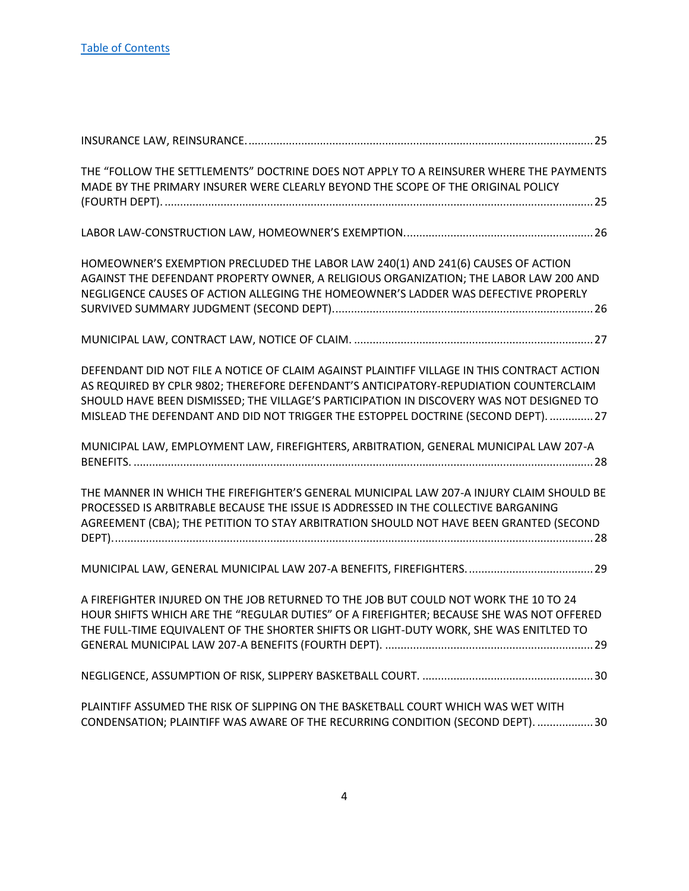| THE "FOLLOW THE SETTLEMENTS" DOCTRINE DOES NOT APPLY TO A REINSURER WHERE THE PAYMENTS<br>MADE BY THE PRIMARY INSURER WERE CLEARLY BEYOND THE SCOPE OF THE ORIGINAL POLICY                                                                                                                                                                                            |
|-----------------------------------------------------------------------------------------------------------------------------------------------------------------------------------------------------------------------------------------------------------------------------------------------------------------------------------------------------------------------|
|                                                                                                                                                                                                                                                                                                                                                                       |
| HOMEOWNER'S EXEMPTION PRECLUDED THE LABOR LAW 240(1) AND 241(6) CAUSES OF ACTION<br>AGAINST THE DEFENDANT PROPERTY OWNER, A RELIGIOUS ORGANIZATION; THE LABOR LAW 200 AND<br>NEGLIGENCE CAUSES OF ACTION ALLEGING THE HOMEOWNER'S LADDER WAS DEFECTIVE PROPERLY                                                                                                       |
|                                                                                                                                                                                                                                                                                                                                                                       |
| DEFENDANT DID NOT FILE A NOTICE OF CLAIM AGAINST PLAINTIFF VILLAGE IN THIS CONTRACT ACTION<br>AS REQUIRED BY CPLR 9802; THEREFORE DEFENDANT'S ANTICIPATORY-REPUDIATION COUNTERCLAIM<br>SHOULD HAVE BEEN DISMISSED; THE VILLAGE'S PARTICIPATION IN DISCOVERY WAS NOT DESIGNED TO<br>MISLEAD THE DEFENDANT AND DID NOT TRIGGER THE ESTOPPEL DOCTRINE (SECOND DEPT).  27 |
| MUNICIPAL LAW, EMPLOYMENT LAW, FIREFIGHTERS, ARBITRATION, GENERAL MUNICIPAL LAW 207-A                                                                                                                                                                                                                                                                                 |
| THE MANNER IN WHICH THE FIREFIGHTER'S GENERAL MUNICIPAL LAW 207-A INJURY CLAIM SHOULD BE<br>PROCESSED IS ARBITRABLE BECAUSE THE ISSUE IS ADDRESSED IN THE COLLECTIVE BARGANING<br>AGREEMENT (CBA); THE PETITION TO STAY ARBITRATION SHOULD NOT HAVE BEEN GRANTED (SECOND                                                                                              |
|                                                                                                                                                                                                                                                                                                                                                                       |
| A FIREFIGHTER INJURED ON THE JOB RETURNED TO THE JOB BUT COULD NOT WORK THE 10 TO 24<br>HOUR SHIFTS WHICH ARE THE "REGULAR DUTIES" OF A FIREFIGHTER; BECAUSE SHE WAS NOT OFFERED<br>THE FULL-TIME EQUIVALENT OF THE SHORTER SHIFTS OR LIGHT-DUTY WORK, SHE WAS ENITLTED TO                                                                                            |
|                                                                                                                                                                                                                                                                                                                                                                       |
| PLAINTIFF ASSUMED THE RISK OF SLIPPING ON THE BASKETBALL COURT WHICH WAS WET WITH<br>CONDENSATION; PLAINTIFF WAS AWARE OF THE RECURRING CONDITION (SECOND DEPT).  30                                                                                                                                                                                                  |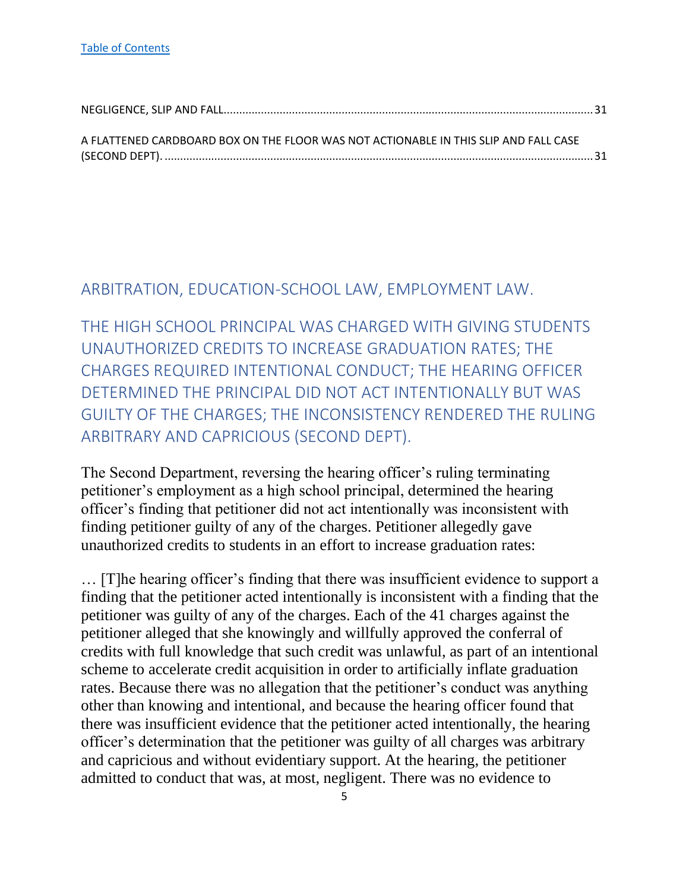| A FLATTENED CARDBOARD BOX ON THE FLOOR WAS NOT ACTIONABLE IN THIS SLIP AND FALL CASE |  |
|--------------------------------------------------------------------------------------|--|
|                                                                                      |  |
|                                                                                      |  |

#### <span id="page-5-0"></span>ARBITRATION, EDUCATION-SCHOOL LAW, EMPLOYMENT LAW.

<span id="page-5-1"></span>THE HIGH SCHOOL PRINCIPAL WAS CHARGED WITH GIVING STUDENTS UNAUTHORIZED CREDITS TO INCREASE GRADUATION RATES; THE CHARGES REQUIRED INTENTIONAL CONDUCT; THE HEARING OFFICER DETERMINED THE PRINCIPAL DID NOT ACT INTENTIONALLY BUT WAS GUILTY OF THE CHARGES; THE INCONSISTENCY RENDERED THE RULING ARBITRARY AND CAPRICIOUS (SECOND DEPT).

The Second Department, reversing the hearing officer's ruling terminating petitioner's employment as a high school principal, determined the hearing officer's finding that petitioner did not act intentionally was inconsistent with finding petitioner guilty of any of the charges. Petitioner allegedly gave unauthorized credits to students in an effort to increase graduation rates:

… [T]he hearing officer's finding that there was insufficient evidence to support a finding that the petitioner acted intentionally is inconsistent with a finding that the petitioner was guilty of any of the charges. Each of the 41 charges against the petitioner alleged that she knowingly and willfully approved the conferral of credits with full knowledge that such credit was unlawful, as part of an intentional scheme to accelerate credit acquisition in order to artificially inflate graduation rates. Because there was no allegation that the petitioner's conduct was anything other than knowing and intentional, and because the hearing officer found that there was insufficient evidence that the petitioner acted intentionally, the hearing officer's determination that the petitioner was guilty of all charges was arbitrary and capricious and without evidentiary support. At the hearing, the petitioner admitted to conduct that was, at most, negligent. There was no evidence to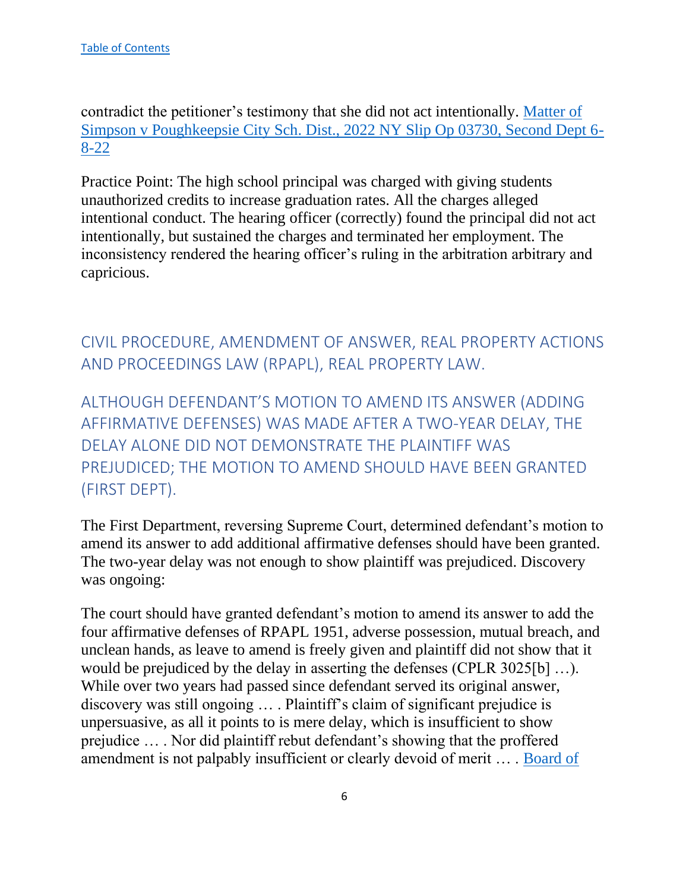contradict the petitioner's testimony that she did not act intentionally. [Matter of](https://nycourts.gov/reporter/3dseries/2022/2022_03730.htm)  [Simpson v Poughkeepsie City Sch. Dist., 2022 NY Slip Op 03730, Second Dept 6-](https://nycourts.gov/reporter/3dseries/2022/2022_03730.htm) [8-22](https://nycourts.gov/reporter/3dseries/2022/2022_03730.htm)

Practice Point: The high school principal was charged with giving students unauthorized credits to increase graduation rates. All the charges alleged intentional conduct. The hearing officer (correctly) found the principal did not act intentionally, but sustained the charges and terminated her employment. The inconsistency rendered the hearing officer's ruling in the arbitration arbitrary and capricious.

<span id="page-6-0"></span>CIVIL PROCEDURE, AMENDMENT OF ANSWER, REAL PROPERTY ACTIONS AND PROCEEDINGS LAW (RPAPL), REAL PROPERTY LAW.

<span id="page-6-1"></span>ALTHOUGH DEFENDANT'S MOTION TO AMEND ITS ANSWER (ADDING AFFIRMATIVE DEFENSES) WAS MADE AFTER A TWO-YEAR DELAY, THE DELAY ALONE DID NOT DEMONSTRATE THE PLAINTIFF WAS PREJUDICED; THE MOTION TO AMEND SHOULD HAVE BEEN GRANTED (FIRST DEPT).

The First Department, reversing Supreme Court, determined defendant's motion to amend its answer to add additional affirmative defenses should have been granted. The two-year delay was not enough to show plaintiff was prejudiced. Discovery was ongoing:

The court should have granted defendant's motion to amend its answer to add the four affirmative defenses of RPAPL 1951, adverse possession, mutual breach, and unclean hands, as leave to amend is freely given and plaintiff did not show that it would be prejudiced by the delay in asserting the defenses (CPLR 3025[b] …). While over two years had passed since defendant served its original answer, discovery was still ongoing … . Plaintiff's claim of significant prejudice is unpersuasive, as all it points to is mere delay, which is insufficient to show prejudice … . Nor did plaintiff rebut defendant's showing that the proffered amendment is not palpably insufficient or clearly devoid of merit … . [Board of](https://nycourts.gov/reporter/3dseries/2022/2022_03680.htm)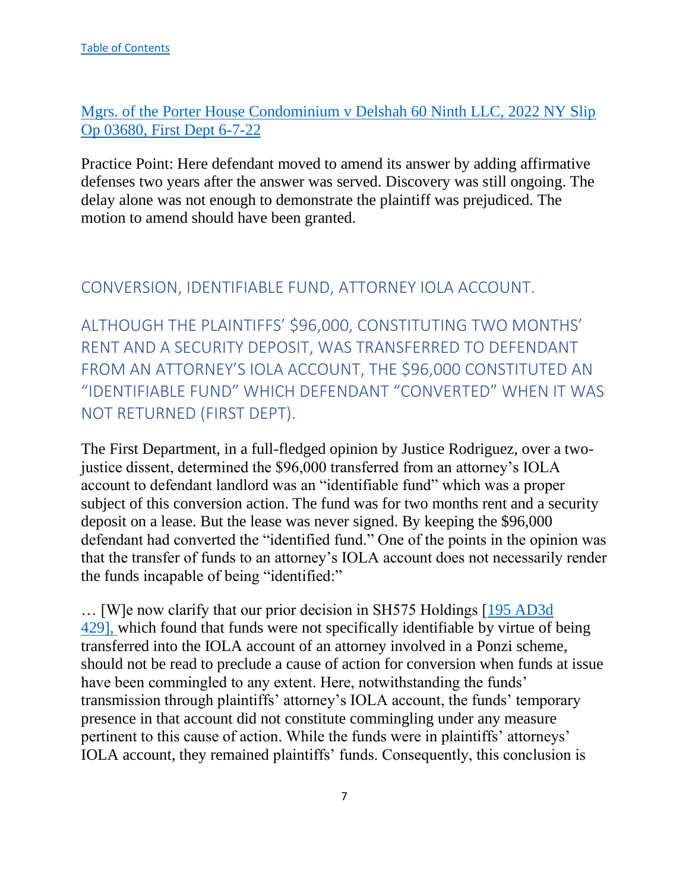[Mgrs. of the Porter House Condominium v Delshah 60 Ninth LLC, 2022 NY Slip](https://nycourts.gov/reporter/3dseries/2022/2022_03680.htm)  [Op 03680, First Dept 6-7-22](https://nycourts.gov/reporter/3dseries/2022/2022_03680.htm)

Practice Point: Here defendant moved to amend its answer by adding affirmative defenses two years after the answer was served. Discovery was still ongoing. The delay alone was not enough to demonstrate the plaintiff was prejudiced. The motion to amend should have been granted.

## <span id="page-7-0"></span>CONVERSION, IDENTIFIABLE FUND, ATTORNEY IOLA ACCOUNT.

<span id="page-7-1"></span>ALTHOUGH THE PLAINTIFFS' \$96,000, CONSTITUTING TWO MONTHS' RENT AND A SECURITY DEPOSIT, WAS TRANSFERRED TO DEFENDANT FROM AN ATTORNEY'S IOLA ACCOUNT, THE \$96,000 CONSTITUTED AN "IDENTIFIABLE FUND" WHICH DEFENDANT "CONVERTED" WHEN IT WAS NOT RETURNED (FIRST DEPT).

The First Department, in a full-fledged opinion by Justice Rodriguez, over a twojustice dissent, determined the \$96,000 transferred from an attorney's IOLA account to defendant landlord was an "identifiable fund" which was a proper subject of this conversion action. The fund was for two months rent and a security deposit on a lease. But the lease was never signed. By keeping the \$96,000 defendant had converted the "identified fund." One of the points in the opinion was that the transfer of funds to an attorney's IOLA account does not necessarily render the funds incapable of being "identified:"

… [W]e now clarify that our prior decision in SH575 Holdings [\[195 AD3d](https://nycourts.gov/reporter/3dseries/2021/2021_03427.htm)  [429\],](https://nycourts.gov/reporter/3dseries/2021/2021_03427.htm) which found that funds were not specifically identifiable by virtue of being transferred into the IOLA account of an attorney involved in a Ponzi scheme, should not be read to preclude a cause of action for conversion when funds at issue have been commingled to any extent. Here, notwithstanding the funds' transmission through plaintiffs' attorney's IOLA account, the funds' temporary presence in that account did not constitute commingling under any measure pertinent to this cause of action. While the funds were in plaintiffs' attorneys' IOLA account, they remained plaintiffs' funds. Consequently, this conclusion is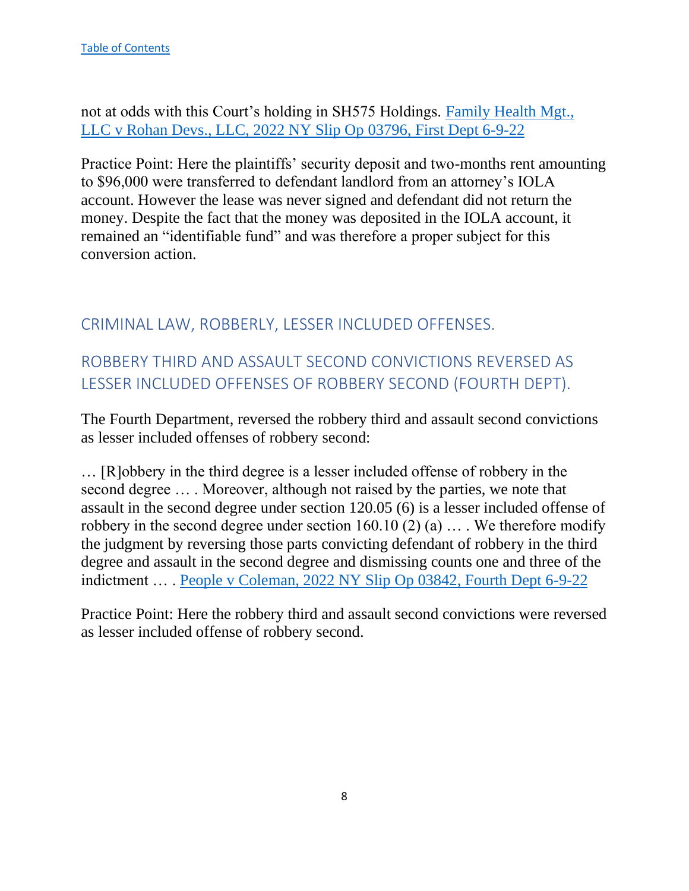not at odds with this Court's holding in SH575 Holdings. [Family Health Mgt.,](https://nycourts.gov/reporter/3dseries/2022/2022_03796.htm)  [LLC v Rohan Devs., LLC, 2022 NY Slip Op 03796, First Dept 6-9-22](https://nycourts.gov/reporter/3dseries/2022/2022_03796.htm)

Practice Point: Here the plaintiffs' security deposit and two-months rent amounting to \$96,000 were transferred to defendant landlord from an attorney's IOLA account. However the lease was never signed and defendant did not return the money. Despite the fact that the money was deposited in the IOLA account, it remained an "identifiable fund" and was therefore a proper subject for this conversion action.

## <span id="page-8-0"></span>CRIMINAL LAW, ROBBERLY, LESSER INCLUDED OFFENSES.

# <span id="page-8-1"></span>ROBBERY THIRD AND ASSAULT SECOND CONVICTIONS REVERSED AS LESSER INCLUDED OFFENSES OF ROBBERY SECOND (FOURTH DEPT).

The Fourth Department, reversed the robbery third and assault second convictions as lesser included offenses of robbery second:

… [R]obbery in the third degree is a lesser included offense of robbery in the second degree … . Moreover, although not raised by the parties, we note that assault in the second degree under section 120.05 (6) is a lesser included offense of robbery in the second degree under section 160.10 (2) (a)  $\dots$ . We therefore modify the judgment by reversing those parts convicting defendant of robbery in the third degree and assault in the second degree and dismissing counts one and three of the indictment … . [People v Coleman, 2022 NY Slip Op 03842, Fourth Dept 6-9-22](https://nycourts.gov/reporter/3dseries/2022/2022_03842.htm)

Practice Point: Here the robbery third and assault second convictions were reversed as lesser included offense of robbery second.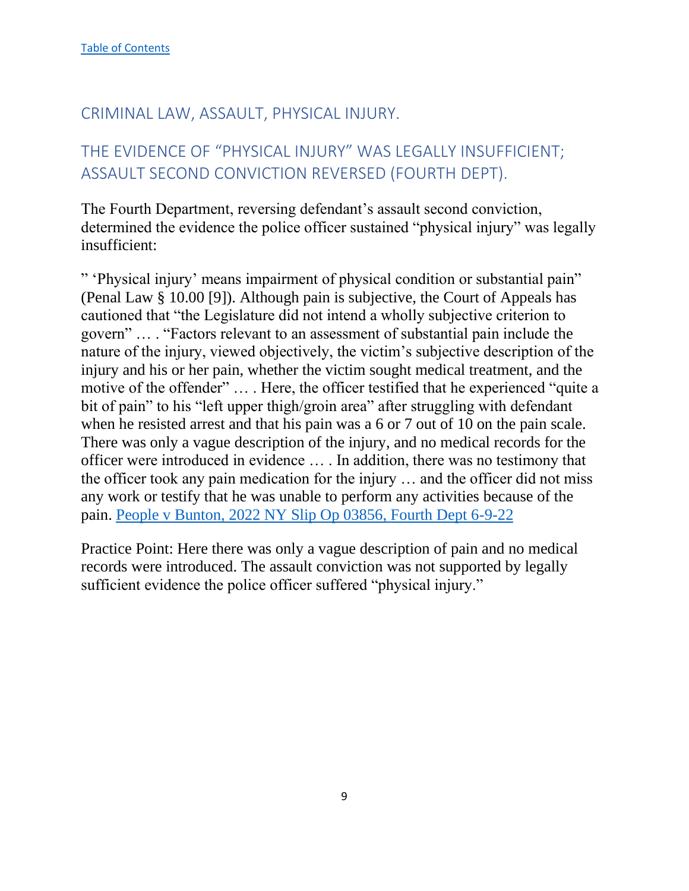## <span id="page-9-0"></span>CRIMINAL LAW, ASSAULT, PHYSICAL INJURY.

# <span id="page-9-1"></span>THE EVIDENCE OF "PHYSICAL INJURY" WAS LEGALLY INSUFFICIENT; ASSAULT SECOND CONVICTION REVERSED (FOURTH DEPT).

The Fourth Department, reversing defendant's assault second conviction, determined the evidence the police officer sustained "physical injury" was legally insufficient:

" 'Physical injury' means impairment of physical condition or substantial pain" (Penal Law § 10.00 [9]). Although pain is subjective, the Court of Appeals has cautioned that "the Legislature did not intend a wholly subjective criterion to govern" … . "Factors relevant to an assessment of substantial pain include the nature of the injury, viewed objectively, the victim's subjective description of the injury and his or her pain, whether the victim sought medical treatment, and the motive of the offender" … . Here, the officer testified that he experienced "quite a bit of pain" to his "left upper thigh/groin area" after struggling with defendant when he resisted arrest and that his pain was a 6 or 7 out of 10 on the pain scale. There was only a vague description of the injury, and no medical records for the officer were introduced in evidence … . In addition, there was no testimony that the officer took any pain medication for the injury … and the officer did not miss any work or testify that he was unable to perform any activities because of the pain. [People v Bunton, 2022 NY Slip Op 03856, Fourth Dept 6-9-22](https://nycourts.gov/reporter/3dseries/2022/2022_03856.htm)

Practice Point: Here there was only a vague description of pain and no medical records were introduced. The assault conviction was not supported by legally sufficient evidence the police officer suffered "physical injury."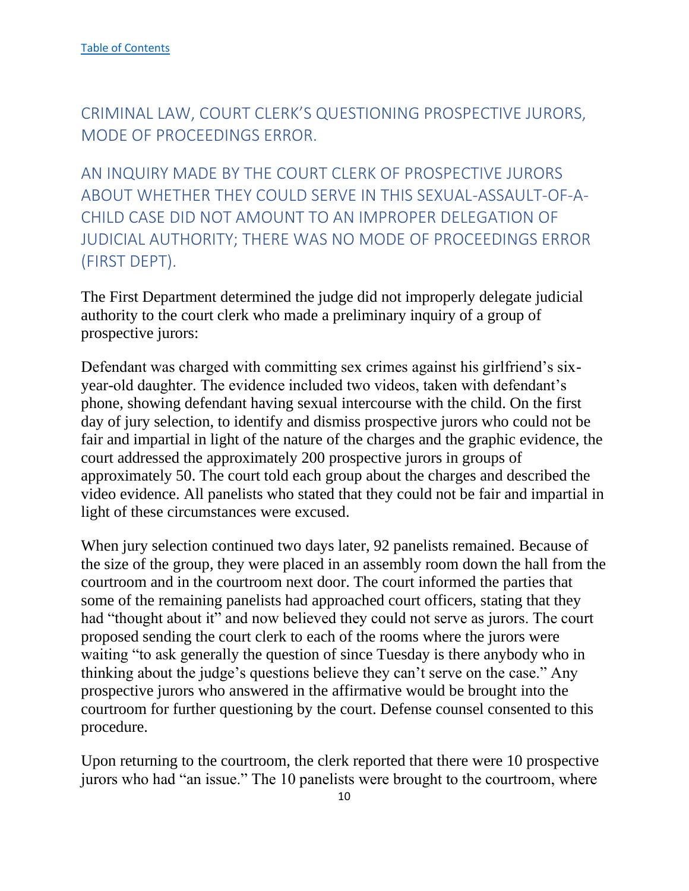<span id="page-10-0"></span>CRIMINAL LAW, COURT CLERK'S QUESTIONING PROSPECTIVE JURORS, MODE OF PROCEEDINGS ERROR.

<span id="page-10-1"></span>AN INQUIRY MADE BY THE COURT CLERK OF PROSPECTIVE JURORS ABOUT WHETHER THEY COULD SERVE IN THIS SEXUAL-ASSAULT-OF-A-CHILD CASE DID NOT AMOUNT TO AN IMPROPER DELEGATION OF JUDICIAL AUTHORITY; THERE WAS NO MODE OF PROCEEDINGS ERROR (FIRST DEPT).

The First Department determined the judge did not improperly delegate judicial authority to the court clerk who made a preliminary inquiry of a group of prospective jurors:

Defendant was charged with committing sex crimes against his girlfriend's sixyear-old daughter. The evidence included two videos, taken with defendant's phone, showing defendant having sexual intercourse with the child. On the first day of jury selection, to identify and dismiss prospective jurors who could not be fair and impartial in light of the nature of the charges and the graphic evidence, the court addressed the approximately 200 prospective jurors in groups of approximately 50. The court told each group about the charges and described the video evidence. All panelists who stated that they could not be fair and impartial in light of these circumstances were excused.

When jury selection continued two days later, 92 panelists remained. Because of the size of the group, they were placed in an assembly room down the hall from the courtroom and in the courtroom next door. The court informed the parties that some of the remaining panelists had approached court officers, stating that they had "thought about it" and now believed they could not serve as jurors. The court proposed sending the court clerk to each of the rooms where the jurors were waiting "to ask generally the question of since Tuesday is there anybody who in thinking about the judge's questions believe they can't serve on the case." Any prospective jurors who answered in the affirmative would be brought into the courtroom for further questioning by the court. Defense counsel consented to this procedure.

Upon returning to the courtroom, the clerk reported that there were 10 prospective jurors who had "an issue." The 10 panelists were brought to the courtroom, where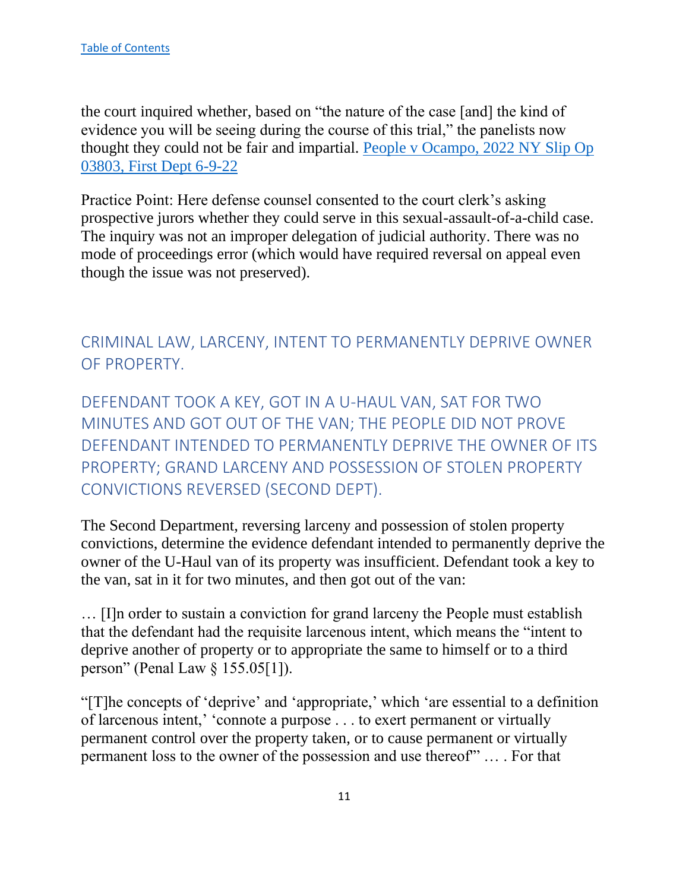the court inquired whether, based on "the nature of the case [and] the kind of evidence you will be seeing during the course of this trial," the panelists now thought they could not be fair and impartial. [People v Ocampo, 2022 NY Slip Op](https://nycourts.gov/reporter/3dseries/2022/2022_03803.htm)  [03803, First Dept 6-9-22](https://nycourts.gov/reporter/3dseries/2022/2022_03803.htm)

Practice Point: Here defense counsel consented to the court clerk's asking prospective jurors whether they could serve in this sexual-assault-of-a-child case. The inquiry was not an improper delegation of judicial authority. There was no mode of proceedings error (which would have required reversal on appeal even though the issue was not preserved).

## <span id="page-11-0"></span>CRIMINAL LAW, LARCENY, INTENT TO PERMANENTLY DEPRIVE OWNER OF PROPERTY.

<span id="page-11-1"></span>DEFENDANT TOOK A KEY, GOT IN A U-HAUL VAN, SAT FOR TWO MINUTES AND GOT OUT OF THE VAN; THE PEOPLE DID NOT PROVE DEFENDANT INTENDED TO PERMANENTLY DEPRIVE THE OWNER OF ITS PROPERTY; GRAND LARCENY AND POSSESSION OF STOLEN PROPERTY CONVICTIONS REVERSED (SECOND DEPT).

The Second Department, reversing larceny and possession of stolen property convictions, determine the evidence defendant intended to permanently deprive the owner of the U-Haul van of its property was insufficient. Defendant took a key to the van, sat in it for two minutes, and then got out of the van:

… [I]n order to sustain a conviction for grand larceny the People must establish that the defendant had the requisite larcenous intent, which means the "intent to deprive another of property or to appropriate the same to himself or to a third person" (Penal Law § 155.05[1]).

"[T]he concepts of 'deprive' and 'appropriate,' which 'are essential to a definition of larcenous intent,' 'connote a purpose . . . to exert permanent or virtually permanent control over the property taken, or to cause permanent or virtually permanent loss to the owner of the possession and use thereof'" … . For that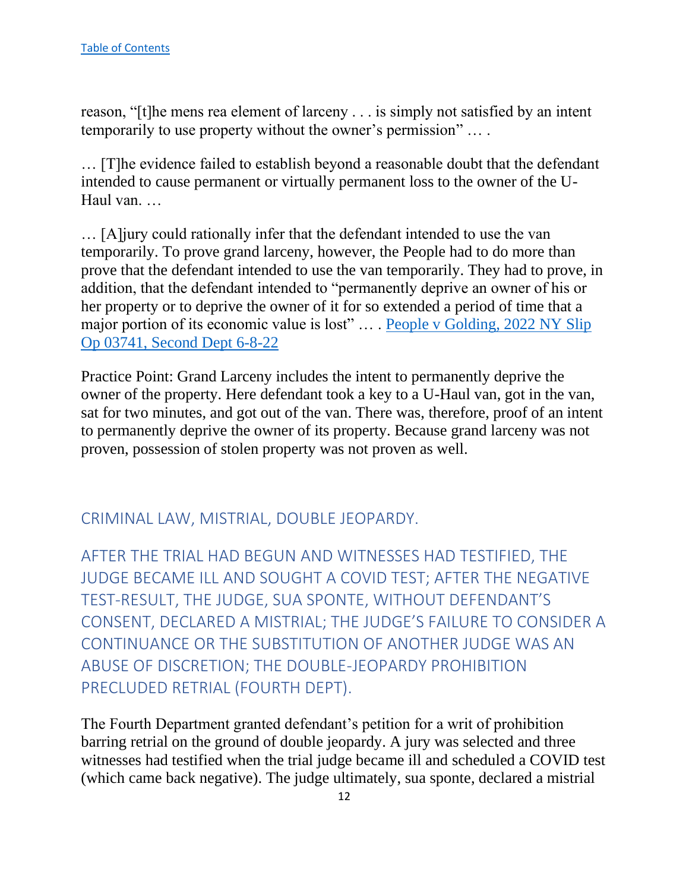reason, "[t]he mens rea element of larceny . . . is simply not satisfied by an intent temporarily to use property without the owner's permission" … .

… [T]he evidence failed to establish beyond a reasonable doubt that the defendant intended to cause permanent or virtually permanent loss to the owner of the U-Haul van. …

… [A]jury could rationally infer that the defendant intended to use the van temporarily. To prove grand larceny, however, the People had to do more than prove that the defendant intended to use the van temporarily. They had to prove, in addition, that the defendant intended to "permanently deprive an owner of his or her property or to deprive the owner of it for so extended a period of time that a major portion of its economic value is lost" … . [People v Golding, 2022 NY Slip](https://nycourts.gov/reporter/3dseries/2022/2022_03741.htm)  [Op 03741, Second Dept 6-8-22](https://nycourts.gov/reporter/3dseries/2022/2022_03741.htm)

Practice Point: Grand Larceny includes the intent to permanently deprive the owner of the property. Here defendant took a key to a U-Haul van, got in the van, sat for two minutes, and got out of the van. There was, therefore, proof of an intent to permanently deprive the owner of its property. Because grand larceny was not proven, possession of stolen property was not proven as well.

## <span id="page-12-0"></span>CRIMINAL LAW, MISTRIAL, DOUBLE JEOPARDY.

<span id="page-12-1"></span>AFTER THE TRIAL HAD BEGUN AND WITNESSES HAD TESTIFIED, THE JUDGE BECAME ILL AND SOUGHT A COVID TEST; AFTER THE NEGATIVE TEST-RESULT, THE JUDGE, SUA SPONTE, WITHOUT DEFENDANT'S CONSENT, DECLARED A MISTRIAL; THE JUDGE'S FAILURE TO CONSIDER A CONTINUANCE OR THE SUBSTITUTION OF ANOTHER JUDGE WAS AN ABUSE OF DISCRETION; THE DOUBLE-JEOPARDY PROHIBITION PRECLUDED RETRIAL (FOURTH DEPT).

The Fourth Department granted defendant's petition for a writ of prohibition barring retrial on the ground of double jeopardy. A jury was selected and three witnesses had testified when the trial judge became ill and scheduled a COVID test (which came back negative). The judge ultimately, sua sponte, declared a mistrial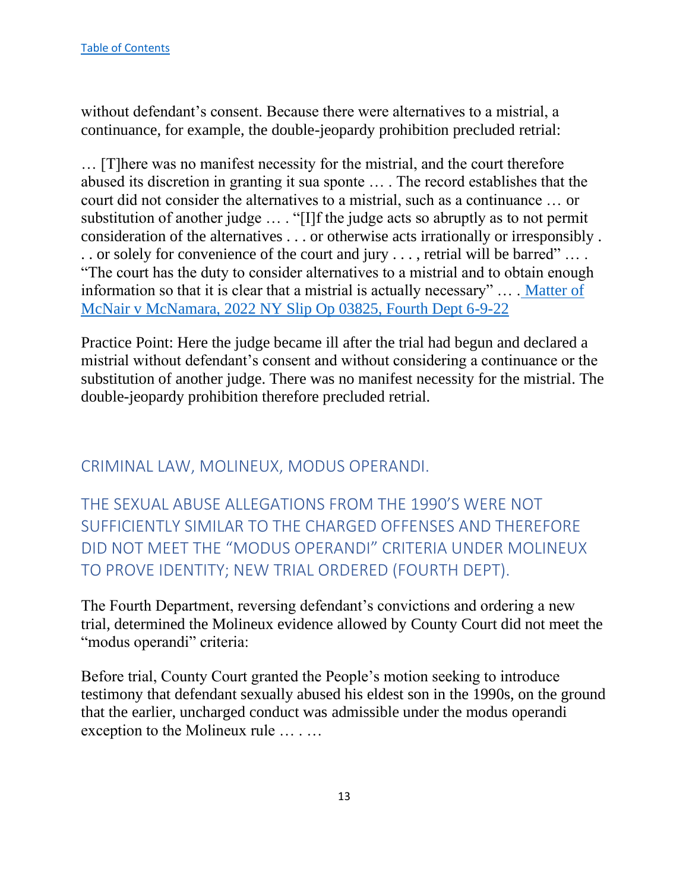without defendant's consent. Because there were alternatives to a mistrial, a continuance, for example, the double-jeopardy prohibition precluded retrial:

… [T]here was no manifest necessity for the mistrial, and the court therefore abused its discretion in granting it sua sponte … . The record establishes that the court did not consider the alternatives to a mistrial, such as a continuance … or substitution of another judge … . "[I]f the judge acts so abruptly as to not permit consideration of the alternatives . . . or otherwise acts irrationally or irresponsibly . . . or solely for convenience of the court and jury . . . , retrial will be barred" … . "The court has the duty to consider alternatives to a mistrial and to obtain enough information so that it is clear that a mistrial is actually necessary" … . [Matter of](https://nycourts.gov/reporter/3dseries/2022/2022_03825.htm)  [McNair v McNamara, 2022 NY Slip Op 03825, Fourth Dept 6-9-22](https://nycourts.gov/reporter/3dseries/2022/2022_03825.htm)

Practice Point: Here the judge became ill after the trial had begun and declared a mistrial without defendant's consent and without considering a continuance or the substitution of another judge. There was no manifest necessity for the mistrial. The double-jeopardy prohibition therefore precluded retrial.

<span id="page-13-0"></span>CRIMINAL LAW, MOLINEUX, MODUS OPERANDI.

<span id="page-13-1"></span>THE SEXUAL ABUSE ALLEGATIONS FROM THE 1990'S WERE NOT SUFFICIENTLY SIMILAR TO THE CHARGED OFFENSES AND THEREFORE DID NOT MEET THE "MODUS OPERANDI" CRITERIA UNDER MOLINEUX TO PROVE IDENTITY; NEW TRIAL ORDERED (FOURTH DEPT).

The Fourth Department, reversing defendant's convictions and ordering a new trial, determined the Molineux evidence allowed by County Court did not meet the "modus operandi" criteria:

Before trial, County Court granted the People's motion seeking to introduce testimony that defendant sexually abused his eldest son in the 1990s, on the ground that the earlier, uncharged conduct was admissible under the modus operandi exception to the Molineux rule … . …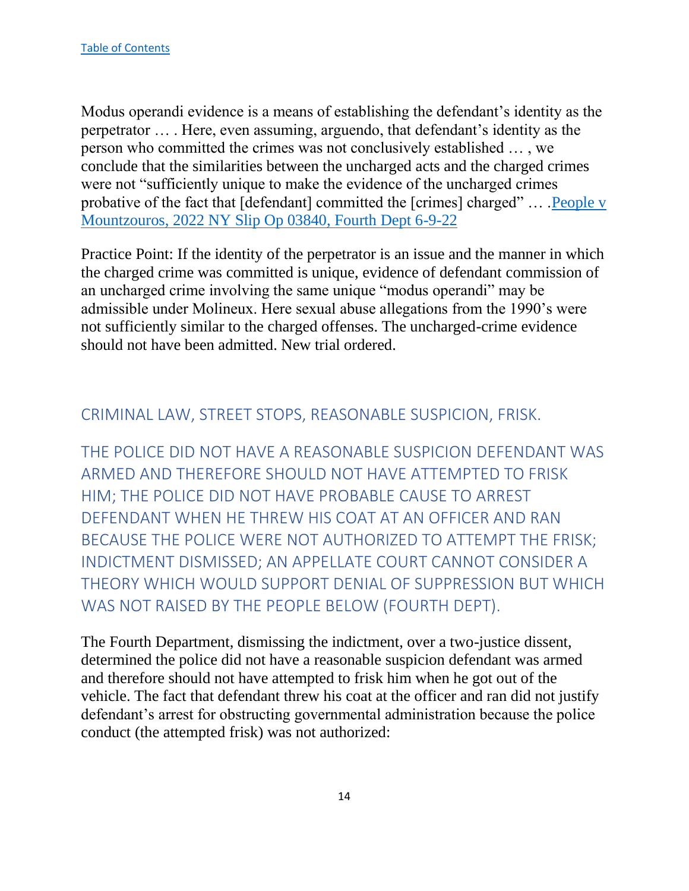Modus operandi evidence is a means of establishing the defendant's identity as the perpetrator … . Here, even assuming, arguendo, that defendant's identity as the person who committed the crimes was not conclusively established … , we conclude that the similarities between the uncharged acts and the charged crimes were not "sufficiently unique to make the evidence of the uncharged crimes probative of the fact that [defendant] committed the [crimes] charged" … [.People v](https://nycourts.gov/reporter/3dseries/2022/2022_03840.htm)  [Mountzouros, 2022 NY Slip Op 03840, Fourth Dept 6-9-22](https://nycourts.gov/reporter/3dseries/2022/2022_03840.htm)

Practice Point: If the identity of the perpetrator is an issue and the manner in which the charged crime was committed is unique, evidence of defendant commission of an uncharged crime involving the same unique "modus operandi" may be admissible under Molineux. Here sexual abuse allegations from the 1990's were not sufficiently similar to the charged offenses. The uncharged-crime evidence should not have been admitted. New trial ordered.

## <span id="page-14-0"></span>CRIMINAL LAW, STREET STOPS, REASONABLE SUSPICION, FRISK.

<span id="page-14-1"></span>THE POLICE DID NOT HAVE A REASONABLE SUSPICION DEFENDANT WAS ARMED AND THEREFORE SHOULD NOT HAVE ATTEMPTED TO FRISK HIM; THE POLICE DID NOT HAVE PROBABLE CAUSE TO ARREST DEFENDANT WHEN HE THREW HIS COAT AT AN OFFICER AND RAN BECAUSE THE POLICE WERE NOT AUTHORIZED TO ATTEMPT THE FRISK; INDICTMENT DISMISSED; AN APPELLATE COURT CANNOT CONSIDER A THEORY WHICH WOULD SUPPORT DENIAL OF SUPPRESSION BUT WHICH WAS NOT RAISED BY THE PEOPLE BELOW (FOURTH DEPT).

The Fourth Department, dismissing the indictment, over a two-justice dissent, determined the police did not have a reasonable suspicion defendant was armed and therefore should not have attempted to frisk him when he got out of the vehicle. The fact that defendant threw his coat at the officer and ran did not justify defendant's arrest for obstructing governmental administration because the police conduct (the attempted frisk) was not authorized: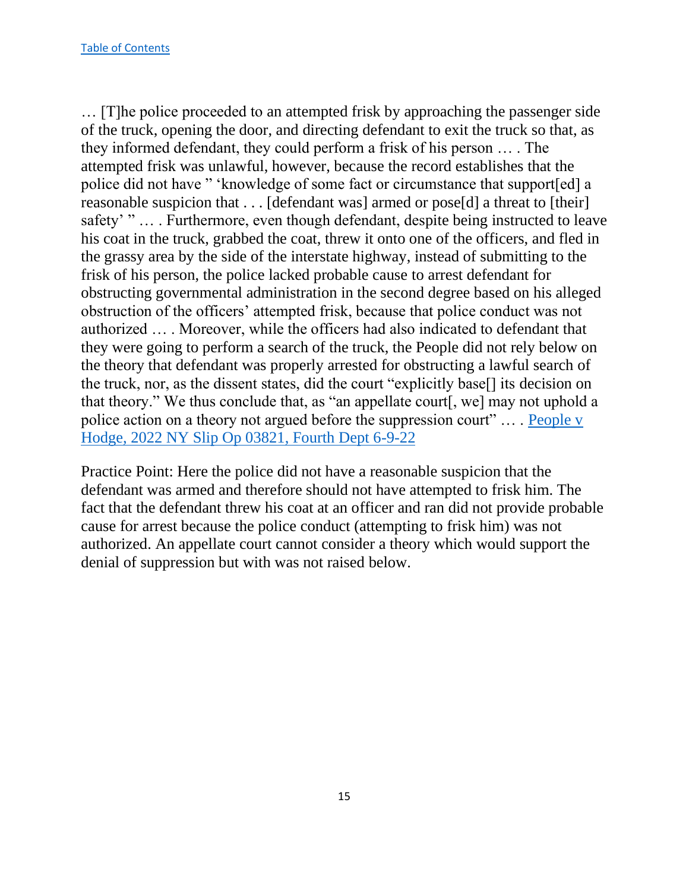… [T]he police proceeded to an attempted frisk by approaching the passenger side of the truck, opening the door, and directing defendant to exit the truck so that, as they informed defendant, they could perform a frisk of his person … . The attempted frisk was unlawful, however, because the record establishes that the police did not have " 'knowledge of some fact or circumstance that support[ed] a reasonable suspicion that . . . [defendant was] armed or pose[d] a threat to [their] safety' " … . Furthermore, even though defendant, despite being instructed to leave his coat in the truck, grabbed the coat, threw it onto one of the officers, and fled in the grassy area by the side of the interstate highway, instead of submitting to the frisk of his person, the police lacked probable cause to arrest defendant for obstructing governmental administration in the second degree based on his alleged obstruction of the officers' attempted frisk, because that police conduct was not authorized … . Moreover, while the officers had also indicated to defendant that they were going to perform a search of the truck, the People did not rely below on the theory that defendant was properly arrested for obstructing a lawful search of the truck, nor, as the dissent states, did the court "explicitly base[] its decision on that theory." We thus conclude that, as "an appellate court[, we] may not uphold a police action on a theory not argued before the suppression court" ... People v [Hodge, 2022 NY Slip Op 03821, Fourth Dept 6-9-22](https://nycourts.gov/reporter/3dseries/2022/2022_03821.htm)

Practice Point: Here the police did not have a reasonable suspicion that the defendant was armed and therefore should not have attempted to frisk him. The fact that the defendant threw his coat at an officer and ran did not provide probable cause for arrest because the police conduct (attempting to frisk him) was not authorized. An appellate court cannot consider a theory which would support the denial of suppression but with was not raised below.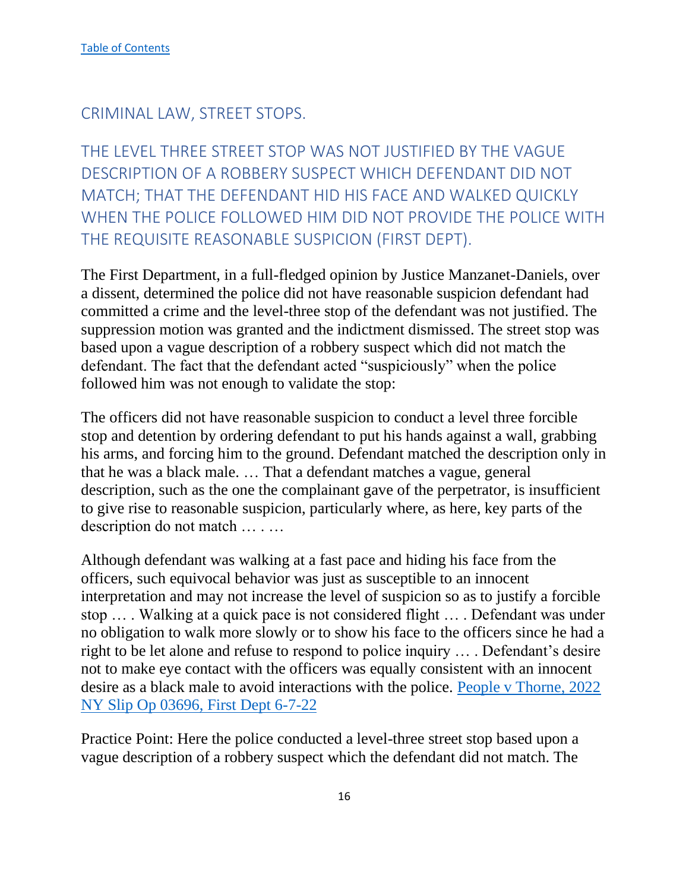<span id="page-16-0"></span>CRIMINAL LAW, STREET STOPS.

<span id="page-16-1"></span>THE LEVEL THREE STREET STOP WAS NOT JUSTIFIED BY THE VAGUE DESCRIPTION OF A ROBBERY SUSPECT WHICH DEFENDANT DID NOT MATCH; THAT THE DEFENDANT HID HIS FACE AND WALKED QUICKLY WHEN THE POLICE FOLLOWED HIM DID NOT PROVIDE THE POLICE WITH THE REQUISITE REASONABLE SUSPICION (FIRST DEPT).

The First Department, in a full-fledged opinion by Justice Manzanet-Daniels, over a dissent, determined the police did not have reasonable suspicion defendant had committed a crime and the level-three stop of the defendant was not justified. The suppression motion was granted and the indictment dismissed. The street stop was based upon a vague description of a robbery suspect which did not match the defendant. The fact that the defendant acted "suspiciously" when the police followed him was not enough to validate the stop:

The officers did not have reasonable suspicion to conduct a level three forcible stop and detention by ordering defendant to put his hands against a wall, grabbing his arms, and forcing him to the ground. Defendant matched the description only in that he was a black male. … That a defendant matches a vague, general description, such as the one the complainant gave of the perpetrator, is insufficient to give rise to reasonable suspicion, particularly where, as here, key parts of the description do not match … . …

Although defendant was walking at a fast pace and hiding his face from the officers, such equivocal behavior was just as susceptible to an innocent interpretation and may not increase the level of suspicion so as to justify a forcible stop … . Walking at a quick pace is not considered flight … . Defendant was under no obligation to walk more slowly or to show his face to the officers since he had a right to be let alone and refuse to respond to police inquiry … . Defendant's desire not to make eye contact with the officers was equally consistent with an innocent desire as a black male to avoid interactions with the police. [People v Thorne, 2022](https://nycourts.gov/reporter/3dseries/2022/2022_03696.htm)  [NY Slip Op 03696, First Dept 6-7-22](https://nycourts.gov/reporter/3dseries/2022/2022_03696.htm)

Practice Point: Here the police conducted a level-three street stop based upon a vague description of a robbery suspect which the defendant did not match. The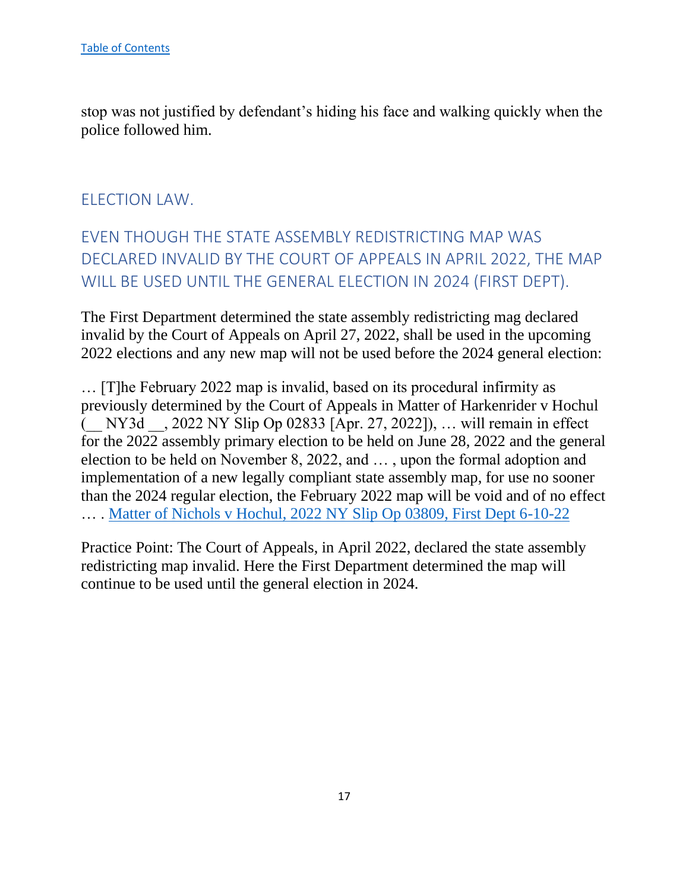stop was not justified by defendant's hiding his face and walking quickly when the police followed him.

#### <span id="page-17-0"></span>ELECTION LAW.

# <span id="page-17-1"></span>EVEN THOUGH THE STATE ASSEMBLY REDISTRICTING MAP WAS DECLARED INVALID BY THE COURT OF APPEALS IN APRIL 2022, THE MAP WILL BE USED UNTIL THE GENERAL ELECTION IN 2024 (FIRST DEPT).

The First Department determined the state assembly redistricting mag declared invalid by the Court of Appeals on April 27, 2022, shall be used in the upcoming 2022 elections and any new map will not be used before the 2024 general election:

… [T]he February 2022 map is invalid, based on its procedural infirmity as previously determined by the Court of Appeals in Matter of Harkenrider v Hochul (\_\_ NY3d \_\_, 2022 NY Slip Op 02833 [Apr. 27, 2022]), … will remain in effect for the 2022 assembly primary election to be held on June 28, 2022 and the general election to be held on November 8, 2022, and … , upon the formal adoption and implementation of a new legally compliant state assembly map, for use no sooner than the 2024 regular election, the February 2022 map will be void and of no effect … . [Matter of Nichols v Hochul, 2022 NY Slip Op 03809, First Dept 6-10-22](https://nycourts.gov/reporter/3dseries/2022/2022_03809.htm)

Practice Point: The Court of Appeals, in April 2022, declared the state assembly redistricting map invalid. Here the First Department determined the map will continue to be used until the general election in 2024.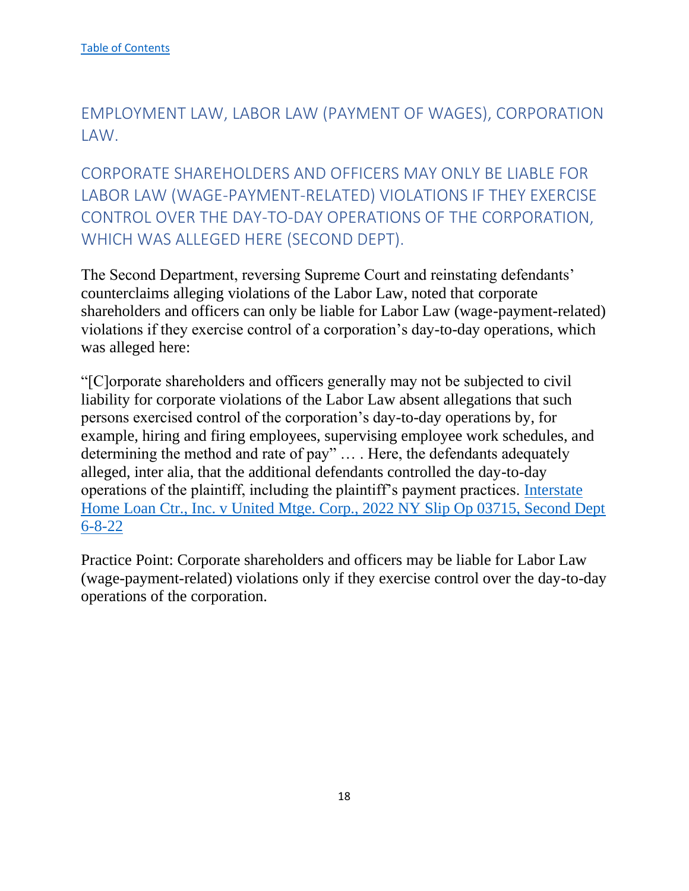## <span id="page-18-0"></span>EMPLOYMENT LAW, LABOR LAW (PAYMENT OF WAGES), CORPORATION LAW.

<span id="page-18-1"></span>CORPORATE SHAREHOLDERS AND OFFICERS MAY ONLY BE LIABLE FOR LABOR LAW (WAGE-PAYMENT-RELATED) VIOLATIONS IF THEY EXERCISE CONTROL OVER THE DAY-TO-DAY OPERATIONS OF THE CORPORATION, WHICH WAS ALLEGED HERE (SECOND DEPT).

The Second Department, reversing Supreme Court and reinstating defendants' counterclaims alleging violations of the Labor Law, noted that corporate shareholders and officers can only be liable for Labor Law (wage-payment-related) violations if they exercise control of a corporation's day-to-day operations, which was alleged here:

"[C]orporate shareholders and officers generally may not be subjected to civil liability for corporate violations of the Labor Law absent allegations that such persons exercised control of the corporation's day-to-day operations by, for example, hiring and firing employees, supervising employee work schedules, and determining the method and rate of pay" … . Here, the defendants adequately alleged, inter alia, that the additional defendants controlled the day-to-day operations of the plaintiff, including the plaintiff's payment practices. [Interstate](https://nycourts.gov/reporter/3dseries/2022/2022_03715.htm)  [Home Loan Ctr., Inc. v United Mtge. Corp., 2022 NY Slip Op 03715, Second Dept](https://nycourts.gov/reporter/3dseries/2022/2022_03715.htm)  [6-8-22](https://nycourts.gov/reporter/3dseries/2022/2022_03715.htm)

Practice Point: Corporate shareholders and officers may be liable for Labor Law (wage-payment-related) violations only if they exercise control over the day-to-day operations of the corporation.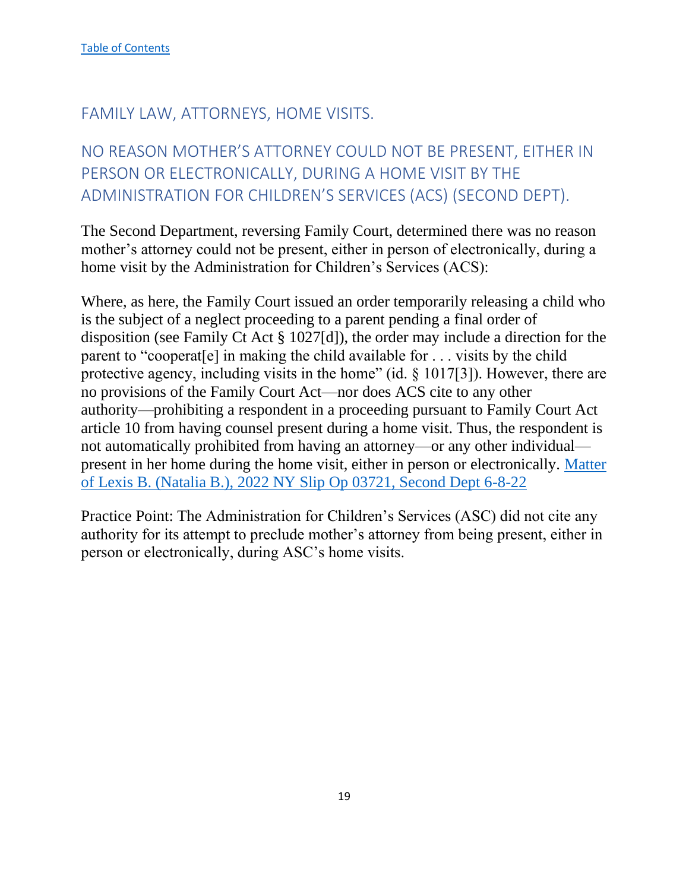## <span id="page-19-0"></span>FAMILY LAW, ATTORNEYS, HOME VISITS.

# <span id="page-19-1"></span>NO REASON MOTHER'S ATTORNEY COULD NOT BE PRESENT, EITHER IN PERSON OR ELECTRONICALLY, DURING A HOME VISIT BY THE ADMINISTRATION FOR CHILDREN'S SERVICES (ACS) (SECOND DEPT).

The Second Department, reversing Family Court, determined there was no reason mother's attorney could not be present, either in person of electronically, during a home visit by the Administration for Children's Services (ACS):

Where, as here, the Family Court issued an order temporarily releasing a child who is the subject of a neglect proceeding to a parent pending a final order of disposition (see Family Ct Act § 1027[d]), the order may include a direction for the parent to "cooperat[e] in making the child available for . . . visits by the child protective agency, including visits in the home" (id. § 1017[3]). However, there are no provisions of the Family Court Act—nor does ACS cite to any other authority—prohibiting a respondent in a proceeding pursuant to Family Court Act article 10 from having counsel present during a home visit. Thus, the respondent is not automatically prohibited from having an attorney—or any other individual present in her home during the home visit, either in person or electronically. [Matter](https://nycourts.gov/reporter/3dseries/2022/2022_03721.htm)  [of Lexis B. \(Natalia B.\), 2022 NY Slip Op 03721, Second Dept 6-8-22](https://nycourts.gov/reporter/3dseries/2022/2022_03721.htm)

Practice Point: The Administration for Children's Services (ASC) did not cite any authority for its attempt to preclude mother's attorney from being present, either in person or electronically, during ASC's home visits.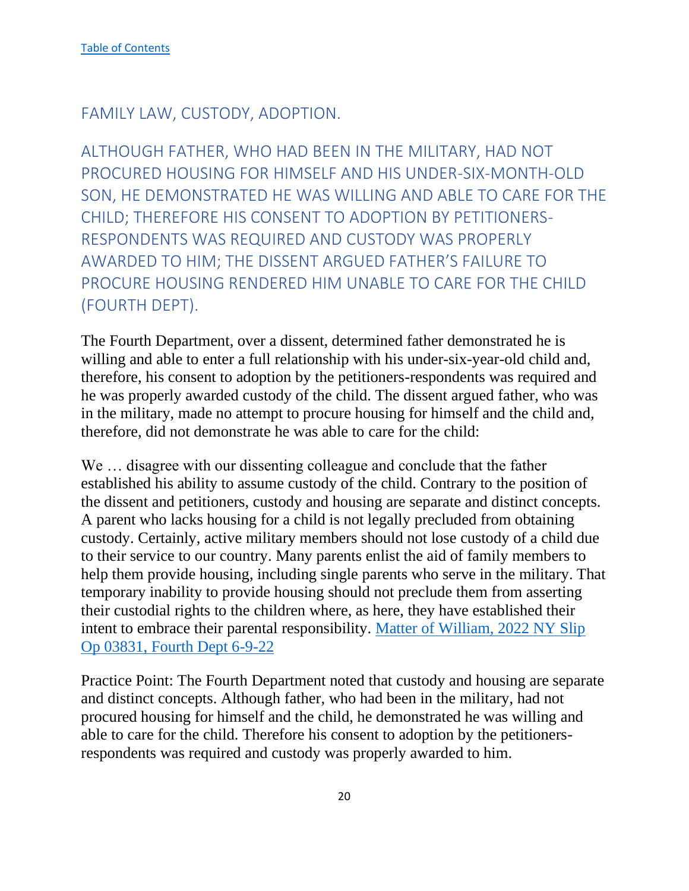## <span id="page-20-0"></span>FAMILY LAW, CUSTODY, ADOPTION.

<span id="page-20-1"></span>ALTHOUGH FATHER, WHO HAD BEEN IN THE MILITARY, HAD NOT PROCURED HOUSING FOR HIMSELF AND HIS UNDER-SIX-MONTH-OLD SON, HE DEMONSTRATED HE WAS WILLING AND ABLE TO CARE FOR THE CHILD; THEREFORE HIS CONSENT TO ADOPTION BY PETITIONERS-RESPONDENTS WAS REQUIRED AND CUSTODY WAS PROPERLY AWARDED TO HIM; THE DISSENT ARGUED FATHER'S FAILURE TO PROCURE HOUSING RENDERED HIM UNABLE TO CARE FOR THE CHILD (FOURTH DEPT).

The Fourth Department, over a dissent, determined father demonstrated he is willing and able to enter a full relationship with his under-six-year-old child and, therefore, his consent to adoption by the petitioners-respondents was required and he was properly awarded custody of the child. The dissent argued father, who was in the military, made no attempt to procure housing for himself and the child and, therefore, did not demonstrate he was able to care for the child:

We … disagree with our dissenting colleague and conclude that the father established his ability to assume custody of the child. Contrary to the position of the dissent and petitioners, custody and housing are separate and distinct concepts. A parent who lacks housing for a child is not legally precluded from obtaining custody. Certainly, active military members should not lose custody of a child due to their service to our country. Many parents enlist the aid of family members to help them provide housing, including single parents who serve in the military. That temporary inability to provide housing should not preclude them from asserting their custodial rights to the children where, as here, they have established their intent to embrace their parental responsibility. [Matter of William, 2022 NY Slip](https://nycourts.gov/reporter/3dseries/2022/2022_03831.htm)  [Op 03831, Fourth Dept 6-9-22](https://nycourts.gov/reporter/3dseries/2022/2022_03831.htm)

Practice Point: The Fourth Department noted that custody and housing are separate and distinct concepts. Although father, who had been in the military, had not procured housing for himself and the child, he demonstrated he was willing and able to care for the child. Therefore his consent to adoption by the petitionersrespondents was required and custody was properly awarded to him.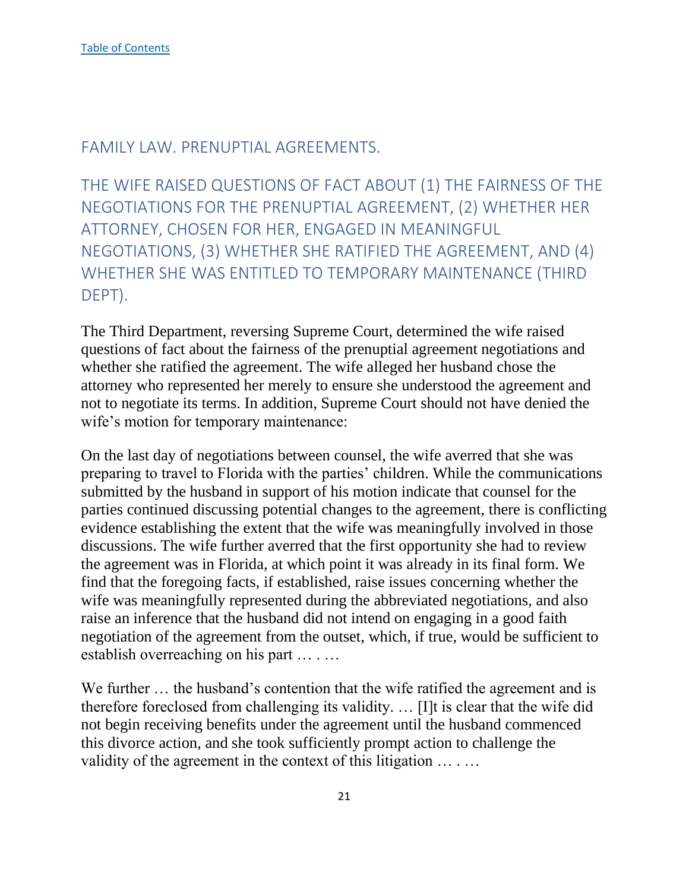## <span id="page-21-0"></span>FAMILY LAW. PRENUPTIAL AGREEMENTS.

<span id="page-21-1"></span>THE WIFE RAISED QUESTIONS OF FACT ABOUT (1) THE FAIRNESS OF THE NEGOTIATIONS FOR THE PRENUPTIAL AGREEMENT, (2) WHETHER HER ATTORNEY, CHOSEN FOR HER, ENGAGED IN MEANINGFUL NEGOTIATIONS, (3) WHETHER SHE RATIFIED THE AGREEMENT, AND (4) WHETHER SHE WAS ENTITLED TO TEMPORARY MAINTENANCE (THIRD DEPT).

The Third Department, reversing Supreme Court, determined the wife raised questions of fact about the fairness of the prenuptial agreement negotiations and whether she ratified the agreement. The wife alleged her husband chose the attorney who represented her merely to ensure she understood the agreement and not to negotiate its terms. In addition, Supreme Court should not have denied the wife's motion for temporary maintenance:

On the last day of negotiations between counsel, the wife averred that she was preparing to travel to Florida with the parties' children. While the communications submitted by the husband in support of his motion indicate that counsel for the parties continued discussing potential changes to the agreement, there is conflicting evidence establishing the extent that the wife was meaningfully involved in those discussions. The wife further averred that the first opportunity she had to review the agreement was in Florida, at which point it was already in its final form. We find that the foregoing facts, if established, raise issues concerning whether the wife was meaningfully represented during the abbreviated negotiations, and also raise an inference that the husband did not intend on engaging in a good faith negotiation of the agreement from the outset, which, if true, would be sufficient to establish overreaching on his part … . …

We further ... the husband's contention that the wife ratified the agreement and is therefore foreclosed from challenging its validity. … [I]t is clear that the wife did not begin receiving benefits under the agreement until the husband commenced this divorce action, and she took sufficiently prompt action to challenge the validity of the agreement in the context of this litigation ... ...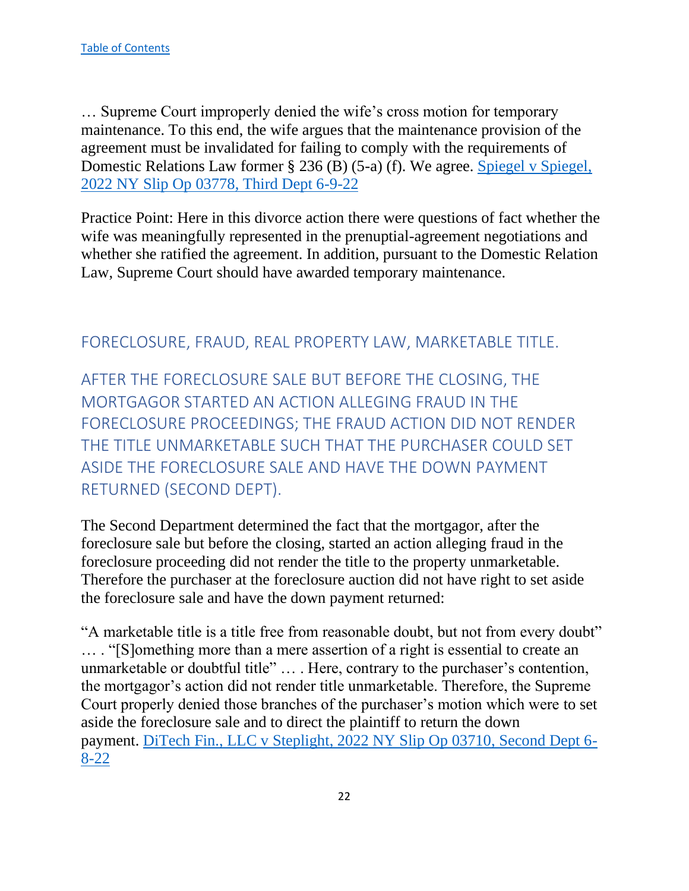… Supreme Court improperly denied the wife's cross motion for temporary maintenance. To this end, the wife argues that the maintenance provision of the agreement must be invalidated for failing to comply with the requirements of Domestic Relations Law former § 236 (B) (5-a) (f). We agree. [Spiegel v Spiegel,](https://nycourts.gov/reporter/3dseries/2022/2022_03778.htm)  [2022 NY Slip Op 03778, Third Dept 6-9-22](https://nycourts.gov/reporter/3dseries/2022/2022_03778.htm)

Practice Point: Here in this divorce action there were questions of fact whether the wife was meaningfully represented in the prenuptial-agreement negotiations and whether she ratified the agreement. In addition, pursuant to the Domestic Relation Law, Supreme Court should have awarded temporary maintenance.

## <span id="page-22-0"></span>FORECLOSURE, FRAUD, REAL PROPERTY LAW, MARKETABLE TITLE.

<span id="page-22-1"></span>AFTER THE FORECLOSURE SALE BUT BEFORE THE CLOSING, THE MORTGAGOR STARTED AN ACTION ALLEGING FRAUD IN THE FORECLOSURE PROCEEDINGS; THE FRAUD ACTION DID NOT RENDER THE TITLE UNMARKETABLE SUCH THAT THE PURCHASER COULD SET ASIDE THE FORECLOSURE SALE AND HAVE THE DOWN PAYMENT RETURNED (SECOND DEPT).

The Second Department determined the fact that the mortgagor, after the foreclosure sale but before the closing, started an action alleging fraud in the foreclosure proceeding did not render the title to the property unmarketable. Therefore the purchaser at the foreclosure auction did not have right to set aside the foreclosure sale and have the down payment returned:

"A marketable title is a title free from reasonable doubt, but not from every doubt" … . "[S]omething more than a mere assertion of a right is essential to create an unmarketable or doubtful title" … . Here, contrary to the purchaser's contention, the mortgagor's action did not render title unmarketable. Therefore, the Supreme Court properly denied those branches of the purchaser's motion which were to set aside the foreclosure sale and to direct the plaintiff to return the down payment. [DiTech Fin., LLC v Steplight, 2022 NY Slip Op 03710, Second Dept 6-](https://nycourts.gov/reporter/3dseries/2022/2022_03710.htm) [8-22](https://nycourts.gov/reporter/3dseries/2022/2022_03710.htm)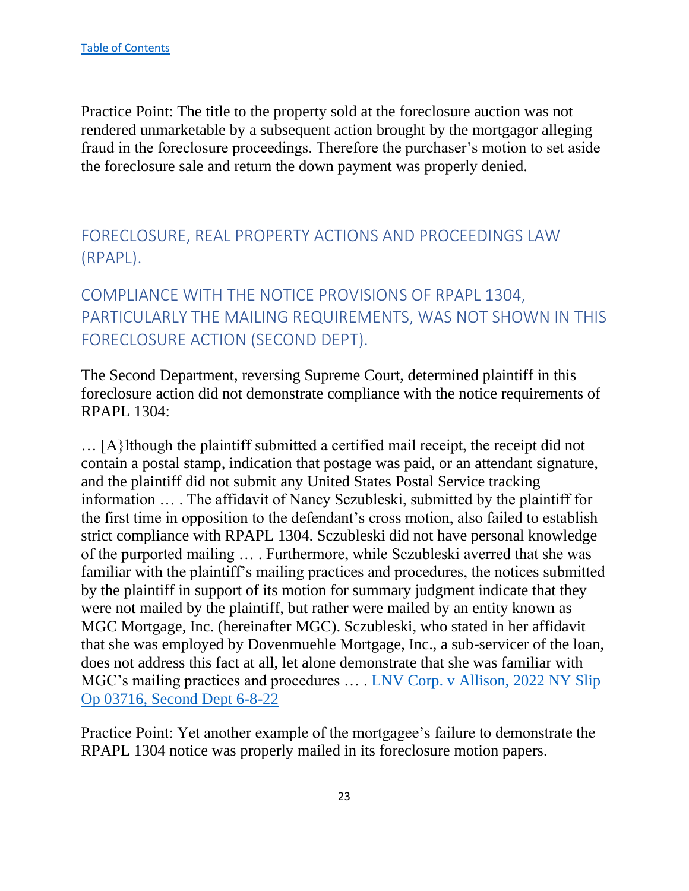Practice Point: The title to the property sold at the foreclosure auction was not rendered unmarketable by a subsequent action brought by the mortgagor alleging fraud in the foreclosure proceedings. Therefore the purchaser's motion to set aside the foreclosure sale and return the down payment was properly denied.

<span id="page-23-0"></span>FORECLOSURE, REAL PROPERTY ACTIONS AND PROCEEDINGS LAW (RPAPL).

<span id="page-23-1"></span>COMPLIANCE WITH THE NOTICE PROVISIONS OF RPAPL 1304, PARTICULARLY THE MAILING REQUIREMENTS, WAS NOT SHOWN IN THIS FORECLOSURE ACTION (SECOND DEPT).

The Second Department, reversing Supreme Court, determined plaintiff in this foreclosure action did not demonstrate compliance with the notice requirements of RPAPL 1304:

… [A}lthough the plaintiff submitted a certified mail receipt, the receipt did not contain a postal stamp, indication that postage was paid, or an attendant signature, and the plaintiff did not submit any United States Postal Service tracking information … . The affidavit of Nancy Sczubleski, submitted by the plaintiff for the first time in opposition to the defendant's cross motion, also failed to establish strict compliance with RPAPL 1304. Sczubleski did not have personal knowledge of the purported mailing … . Furthermore, while Sczubleski averred that she was familiar with the plaintiff's mailing practices and procedures, the notices submitted by the plaintiff in support of its motion for summary judgment indicate that they were not mailed by the plaintiff, but rather were mailed by an entity known as MGC Mortgage, Inc. (hereinafter MGC). Sczubleski, who stated in her affidavit that she was employed by Dovenmuehle Mortgage, Inc., a sub-servicer of the loan, does not address this fact at all, let alone demonstrate that she was familiar with MGC's mailing practices and procedures ... LNV Corp. v Allison, 2022 NY Slip [Op 03716, Second Dept 6-8-22](https://nycourts.gov/reporter/3dseries/2022/2022_03716.htm)

Practice Point: Yet another example of the mortgagee's failure to demonstrate the RPAPL 1304 notice was properly mailed in its foreclosure motion papers.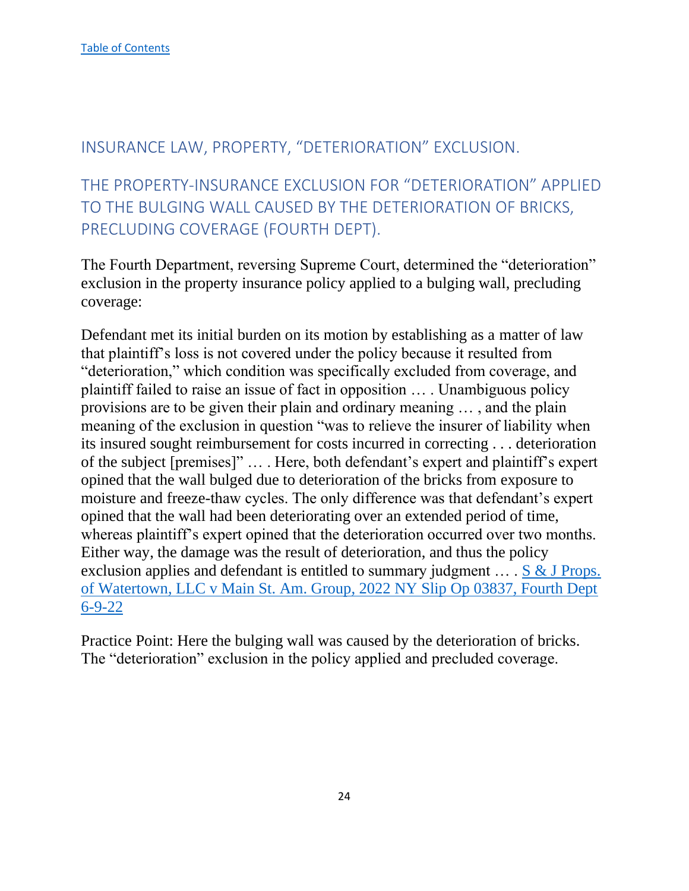## <span id="page-24-0"></span>INSURANCE LAW, PROPERTY, "DETERIORATION" EXCLUSION.

<span id="page-24-1"></span>THE PROPERTY-INSURANCE EXCLUSION FOR "DETERIORATION" APPLIED TO THE BULGING WALL CAUSED BY THE DETERIORATION OF BRICKS, PRECLUDING COVERAGE (FOURTH DEPT).

The Fourth Department, reversing Supreme Court, determined the "deterioration" exclusion in the property insurance policy applied to a bulging wall, precluding coverage:

Defendant met its initial burden on its motion by establishing as a matter of law that plaintiff's loss is not covered under the policy because it resulted from "deterioration," which condition was specifically excluded from coverage, and plaintiff failed to raise an issue of fact in opposition … . Unambiguous policy provisions are to be given their plain and ordinary meaning … , and the plain meaning of the exclusion in question "was to relieve the insurer of liability when its insured sought reimbursement for costs incurred in correcting . . . deterioration of the subject [premises]" … . Here, both defendant's expert and plaintiff's expert opined that the wall bulged due to deterioration of the bricks from exposure to moisture and freeze-thaw cycles. The only difference was that defendant's expert opined that the wall had been deteriorating over an extended period of time, whereas plaintiff's expert opined that the deterioration occurred over two months. Either way, the damage was the result of deterioration, and thus the policy exclusion applies and defendant is entitled to summary judgment … . [S & J Props.](https://nycourts.gov/reporter/3dseries/2022/2022_03837.htm)  [of Watertown, LLC v Main St. Am. Group, 2022 NY Slip Op 03837, Fourth Dept](https://nycourts.gov/reporter/3dseries/2022/2022_03837.htm)  [6-9-22](https://nycourts.gov/reporter/3dseries/2022/2022_03837.htm)

Practice Point: Here the bulging wall was caused by the deterioration of bricks. The "deterioration" exclusion in the policy applied and precluded coverage.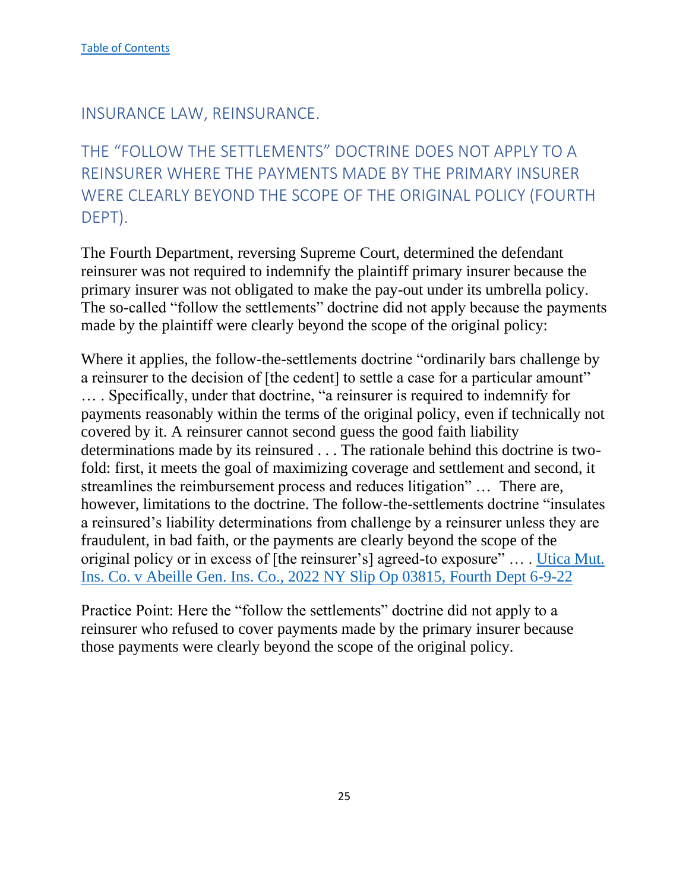## <span id="page-25-0"></span>INSURANCE LAW, REINSURANCE.

# <span id="page-25-1"></span>THE "FOLLOW THE SETTLEMENTS" DOCTRINE DOES NOT APPLY TO A REINSURER WHERE THE PAYMENTS MADE BY THE PRIMARY INSURER WERE CLEARLY BEYOND THE SCOPE OF THE ORIGINAL POLICY (FOURTH DEPT).

The Fourth Department, reversing Supreme Court, determined the defendant reinsurer was not required to indemnify the plaintiff primary insurer because the primary insurer was not obligated to make the pay-out under its umbrella policy. The so-called "follow the settlements" doctrine did not apply because the payments made by the plaintiff were clearly beyond the scope of the original policy:

Where it applies, the follow-the-settlements doctrine "ordinarily bars challenge by a reinsurer to the decision of [the cedent] to settle a case for a particular amount" … . Specifically, under that doctrine, "a reinsurer is required to indemnify for payments reasonably within the terms of the original policy, even if technically not covered by it. A reinsurer cannot second guess the good faith liability determinations made by its reinsured . . . The rationale behind this doctrine is twofold: first, it meets the goal of maximizing coverage and settlement and second, it streamlines the reimbursement process and reduces litigation" … There are, however, limitations to the doctrine. The follow-the-settlements doctrine "insulates a reinsured's liability determinations from challenge by a reinsurer unless they are fraudulent, in bad faith, or the payments are clearly beyond the scope of the original policy or in excess of [the reinsurer's] agreed-to exposure" … . [Utica Mut.](https://nycourts.gov/reporter/3dseries/2022/2022_03815.htm)  [Ins. Co. v Abeille Gen. Ins. Co., 2022 NY Slip Op 03815, Fourth Dept 6-9-22](https://nycourts.gov/reporter/3dseries/2022/2022_03815.htm)

Practice Point: Here the "follow the settlements" doctrine did not apply to a reinsurer who refused to cover payments made by the primary insurer because those payments were clearly beyond the scope of the original policy.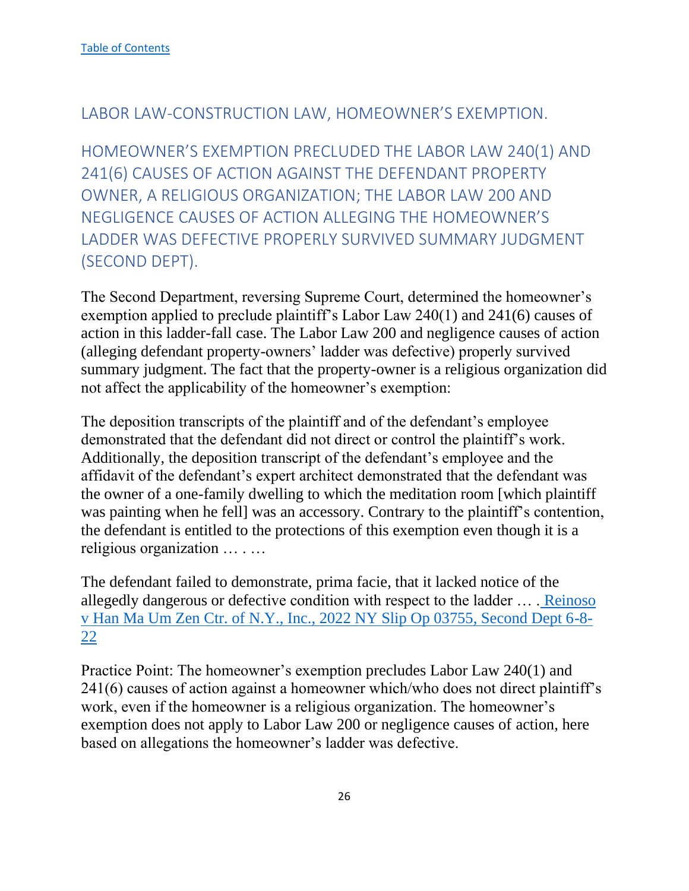## <span id="page-26-0"></span>LABOR LAW-CONSTRUCTION LAW, HOMEOWNER'S EXEMPTION.

<span id="page-26-1"></span>HOMEOWNER'S EXEMPTION PRECLUDED THE LABOR LAW 240(1) AND 241(6) CAUSES OF ACTION AGAINST THE DEFENDANT PROPERTY OWNER, A RELIGIOUS ORGANIZATION; THE LABOR LAW 200 AND NEGLIGENCE CAUSES OF ACTION ALLEGING THE HOMEOWNER'S LADDER WAS DEFECTIVE PROPERLY SURVIVED SUMMARY JUDGMENT (SECOND DEPT).

The Second Department, reversing Supreme Court, determined the homeowner's exemption applied to preclude plaintiff's Labor Law 240(1) and 241(6) causes of action in this ladder-fall case. The Labor Law 200 and negligence causes of action (alleging defendant property-owners' ladder was defective) properly survived summary judgment. The fact that the property-owner is a religious organization did not affect the applicability of the homeowner's exemption:

The deposition transcripts of the plaintiff and of the defendant's employee demonstrated that the defendant did not direct or control the plaintiff's work. Additionally, the deposition transcript of the defendant's employee and the affidavit of the defendant's expert architect demonstrated that the defendant was the owner of a one-family dwelling to which the meditation room [which plaintiff was painting when he fell] was an accessory. Contrary to the plaintiff's contention, the defendant is entitled to the protections of this exemption even though it is a religious organization … . …

The defendant failed to demonstrate, prima facie, that it lacked notice of the allegedly dangerous or defective condition with respect to the ladder … . [Reinoso](https://nycourts.gov/reporter/3dseries/2022/2022_03755.htm)  [v Han Ma Um Zen Ctr. of N.Y., Inc., 2022 NY Slip Op 03755, Second Dept 6-8-](https://nycourts.gov/reporter/3dseries/2022/2022_03755.htm) [22](https://nycourts.gov/reporter/3dseries/2022/2022_03755.htm)

Practice Point: The homeowner's exemption precludes Labor Law 240(1) and 241(6) causes of action against a homeowner which/who does not direct plaintiff's work, even if the homeowner is a religious organization. The homeowner's exemption does not apply to Labor Law 200 or negligence causes of action, here based on allegations the homeowner's ladder was defective.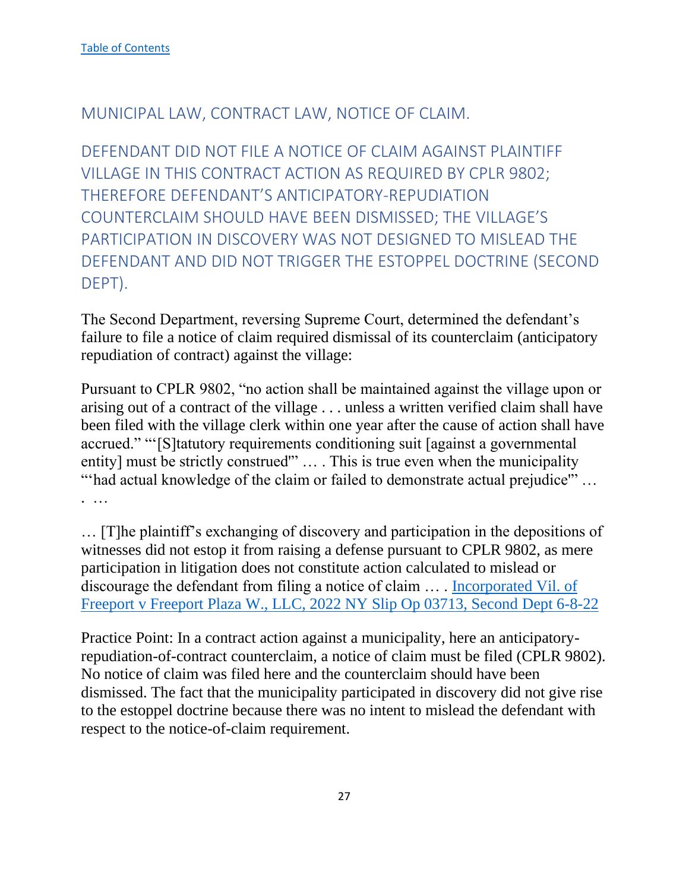## <span id="page-27-0"></span>MUNICIPAL LAW, CONTRACT LAW, NOTICE OF CLAIM.

<span id="page-27-1"></span>DEFENDANT DID NOT FILE A NOTICE OF CLAIM AGAINST PLAINTIFF VILLAGE IN THIS CONTRACT ACTION AS REQUIRED BY CPLR 9802; THEREFORE DEFENDANT'S ANTICIPATORY-REPUDIATION COUNTERCLAIM SHOULD HAVE BEEN DISMISSED; THE VILLAGE'S PARTICIPATION IN DISCOVERY WAS NOT DESIGNED TO MISLEAD THE DEFENDANT AND DID NOT TRIGGER THE ESTOPPEL DOCTRINE (SECOND DEPT).

The Second Department, reversing Supreme Court, determined the defendant's failure to file a notice of claim required dismissal of its counterclaim (anticipatory repudiation of contract) against the village:

Pursuant to CPLR 9802, "no action shall be maintained against the village upon or arising out of a contract of the village . . . unless a written verified claim shall have been filed with the village clerk within one year after the cause of action shall have accrued." "'[S]tatutory requirements conditioning suit [against a governmental entity] must be strictly construed'" … . This is true even when the municipality "'had actual knowledge of the claim or failed to demonstrate actual prejudice'" … . …

… [T]he plaintiff's exchanging of discovery and participation in the depositions of witnesses did not estop it from raising a defense pursuant to CPLR 9802, as mere participation in litigation does not constitute action calculated to mislead or discourage the defendant from filing a notice of claim … . [Incorporated Vil. of](https://nycourts.gov/reporter/3dseries/2022/2022_03713.htm)  [Freeport v Freeport Plaza W., LLC, 2022 NY Slip Op 03713, Second Dept 6-8-22](https://nycourts.gov/reporter/3dseries/2022/2022_03713.htm)

Practice Point: In a contract action against a municipality, here an anticipatoryrepudiation-of-contract counterclaim, a notice of claim must be filed (CPLR 9802). No notice of claim was filed here and the counterclaim should have been dismissed. The fact that the municipality participated in discovery did not give rise to the estoppel doctrine because there was no intent to mislead the defendant with respect to the notice-of-claim requirement.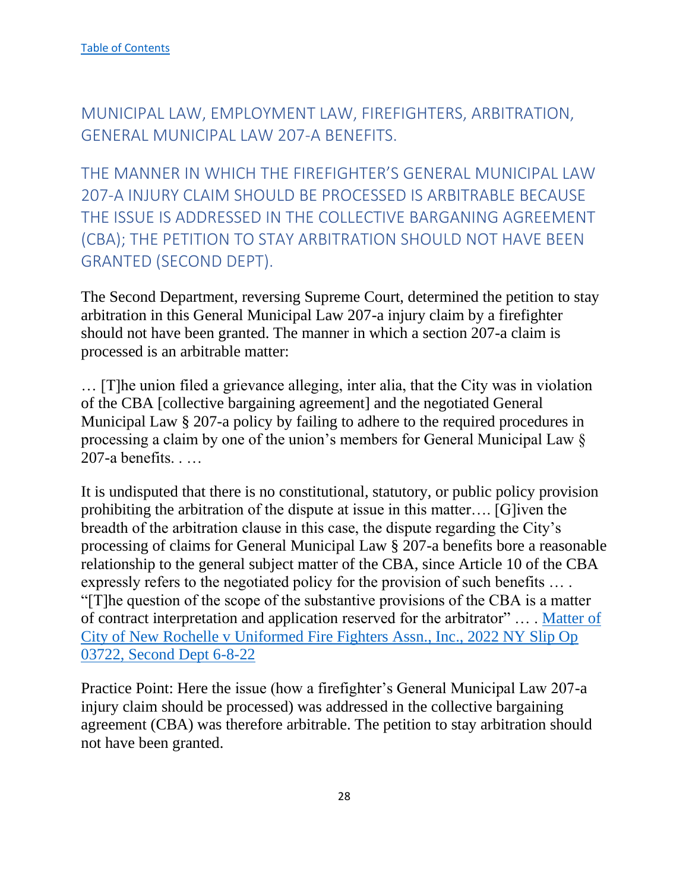<span id="page-28-0"></span>MUNICIPAL LAW, EMPLOYMENT LAW, FIREFIGHTERS, ARBITRATION, GENERAL MUNICIPAL LAW 207-A BENEFITS.

<span id="page-28-1"></span>THE MANNER IN WHICH THE FIREFIGHTER'S GENERAL MUNICIPAL LAW 207-A INJURY CLAIM SHOULD BE PROCESSED IS ARBITRABLE BECAUSE THE ISSUE IS ADDRESSED IN THE COLLECTIVE BARGANING AGREEMENT (CBA); THE PETITION TO STAY ARBITRATION SHOULD NOT HAVE BEEN GRANTED (SECOND DEPT).

The Second Department, reversing Supreme Court, determined the petition to stay arbitration in this General Municipal Law 207-a injury claim by a firefighter should not have been granted. The manner in which a section 207-a claim is processed is an arbitrable matter:

… [T]he union filed a grievance alleging, inter alia, that the City was in violation of the CBA [collective bargaining agreement] and the negotiated General Municipal Law § 207-a policy by failing to adhere to the required procedures in processing a claim by one of the union's members for General Municipal Law § 207-a benefits. . …

It is undisputed that there is no constitutional, statutory, or public policy provision prohibiting the arbitration of the dispute at issue in this matter…. [G]iven the breadth of the arbitration clause in this case, the dispute regarding the City's processing of claims for General Municipal Law § 207-a benefits bore a reasonable relationship to the general subject matter of the CBA, since Article 10 of the CBA expressly refers to the negotiated policy for the provision of such benefits … . "[T]he question of the scope of the substantive provisions of the CBA is a matter of contract interpretation and application reserved for the arbitrator" … . [Matter of](https://nycourts.gov/reporter/3dseries/2022/2022_03722.htm)  [City of New Rochelle v Uniformed Fire Fighters Assn., Inc., 2022 NY Slip Op](https://nycourts.gov/reporter/3dseries/2022/2022_03722.htm)  [03722, Second Dept 6-8-22](https://nycourts.gov/reporter/3dseries/2022/2022_03722.htm)

Practice Point: Here the issue (how a firefighter's General Municipal Law 207-a injury claim should be processed) was addressed in the collective bargaining agreement (CBA) was therefore arbitrable. The petition to stay arbitration should not have been granted.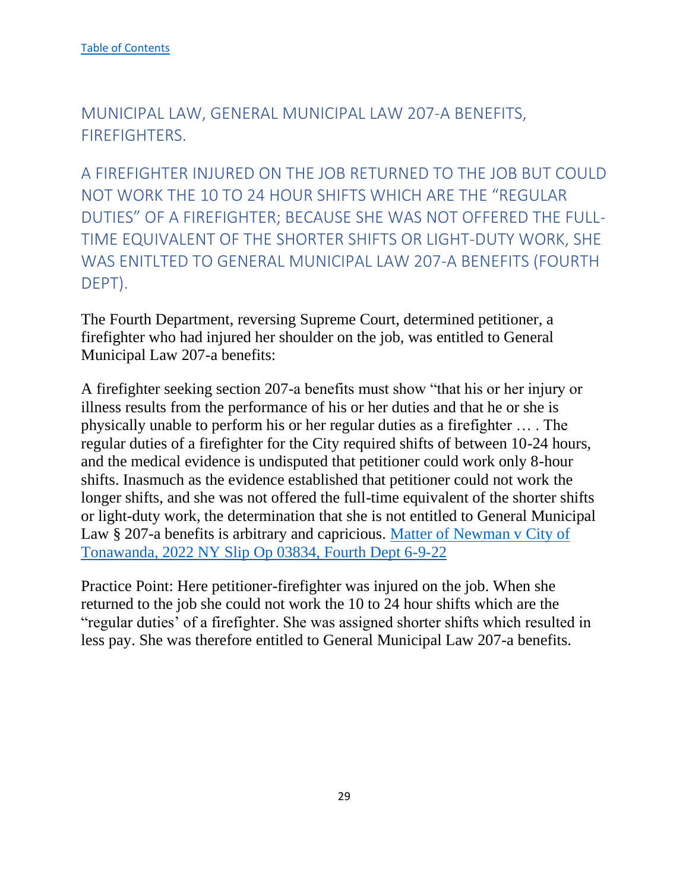<span id="page-29-0"></span>MUNICIPAL LAW, GENERAL MUNICIPAL LAW 207-A BENEFITS, FIREFIGHTERS.

<span id="page-29-1"></span>A FIREFIGHTER INJURED ON THE JOB RETURNED TO THE JOB BUT COULD NOT WORK THE 10 TO 24 HOUR SHIFTS WHICH ARE THE "REGULAR DUTIES" OF A FIREFIGHTER; BECAUSE SHE WAS NOT OFFERED THE FULL-TIME EQUIVALENT OF THE SHORTER SHIFTS OR LIGHT-DUTY WORK, SHE WAS ENITLTED TO GENERAL MUNICIPAL LAW 207-A BENEFITS (FOURTH DEPT).

The Fourth Department, reversing Supreme Court, determined petitioner, a firefighter who had injured her shoulder on the job, was entitled to General Municipal Law 207-a benefits:

A firefighter seeking section 207-a benefits must show "that his or her injury or illness results from the performance of his or her duties and that he or she is physically unable to perform his or her regular duties as a firefighter … . The regular duties of a firefighter for the City required shifts of between 10-24 hours, and the medical evidence is undisputed that petitioner could work only 8-hour shifts. Inasmuch as the evidence established that petitioner could not work the longer shifts, and she was not offered the full-time equivalent of the shorter shifts or light-duty work, the determination that she is not entitled to General Municipal Law § 207-a benefits is arbitrary and capricious. Matter of Newman v City of Tonawanda, 2022 NY Slip Op 03834, Fourth Dept 6-9-22

Practice Point: Here petitioner-firefighter was injured on the job. When she returned to the job she could not work the 10 to 24 hour shifts which are the "regular duties' of a firefighter. She was assigned shorter shifts which resulted in less pay. She was therefore entitled to General Municipal Law 207-a benefits.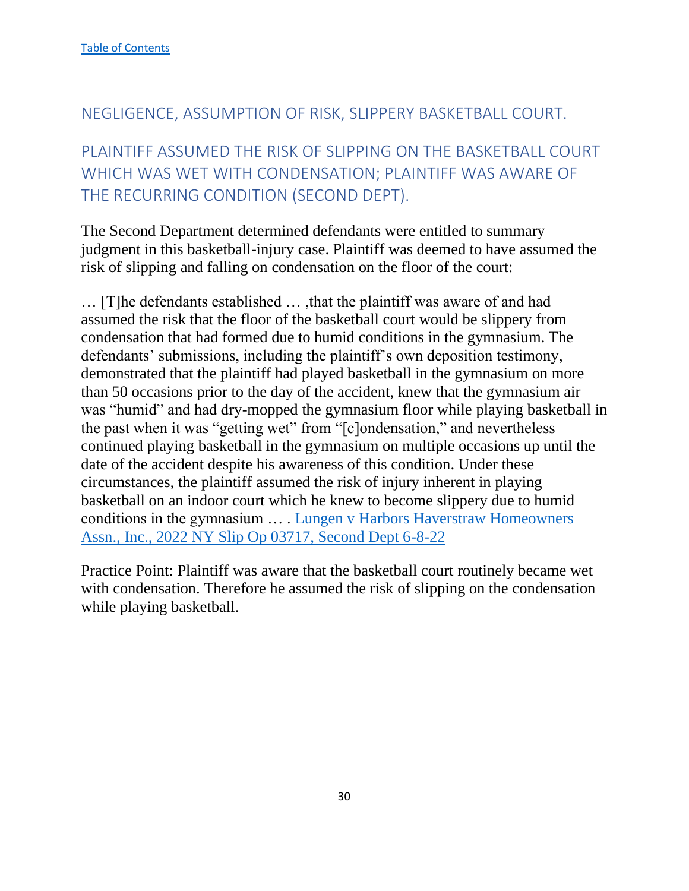## <span id="page-30-0"></span>NEGLIGENCE, ASSUMPTION OF RISK, SLIPPERY BASKETBALL COURT.

# <span id="page-30-1"></span>PLAINTIFF ASSUMED THE RISK OF SLIPPING ON THE BASKETBALL COURT WHICH WAS WET WITH CONDENSATION; PLAINTIFF WAS AWARE OF THE RECURRING CONDITION (SECOND DEPT).

The Second Department determined defendants were entitled to summary judgment in this basketball-injury case. Plaintiff was deemed to have assumed the risk of slipping and falling on condensation on the floor of the court:

… [T]he defendants established … ,that the plaintiff was aware of and had assumed the risk that the floor of the basketball court would be slippery from condensation that had formed due to humid conditions in the gymnasium. The defendants' submissions, including the plaintiff's own deposition testimony, demonstrated that the plaintiff had played basketball in the gymnasium on more than 50 occasions prior to the day of the accident, knew that the gymnasium air was "humid" and had dry-mopped the gymnasium floor while playing basketball in the past when it was "getting wet" from "[c]ondensation," and nevertheless continued playing basketball in the gymnasium on multiple occasions up until the date of the accident despite his awareness of this condition. Under these circumstances, the plaintiff assumed the risk of injury inherent in playing basketball on an indoor court which he knew to become slippery due to humid conditions in the gymnasium … . Lungen v Harbors Haverstraw Homeowners Assn., Inc., 2022 NY Slip Op 03717, Second Dept 6-8-22

Practice Point: Plaintiff was aware that the basketball court routinely became wet with condensation. Therefore he assumed the risk of slipping on the condensation while playing basketball.